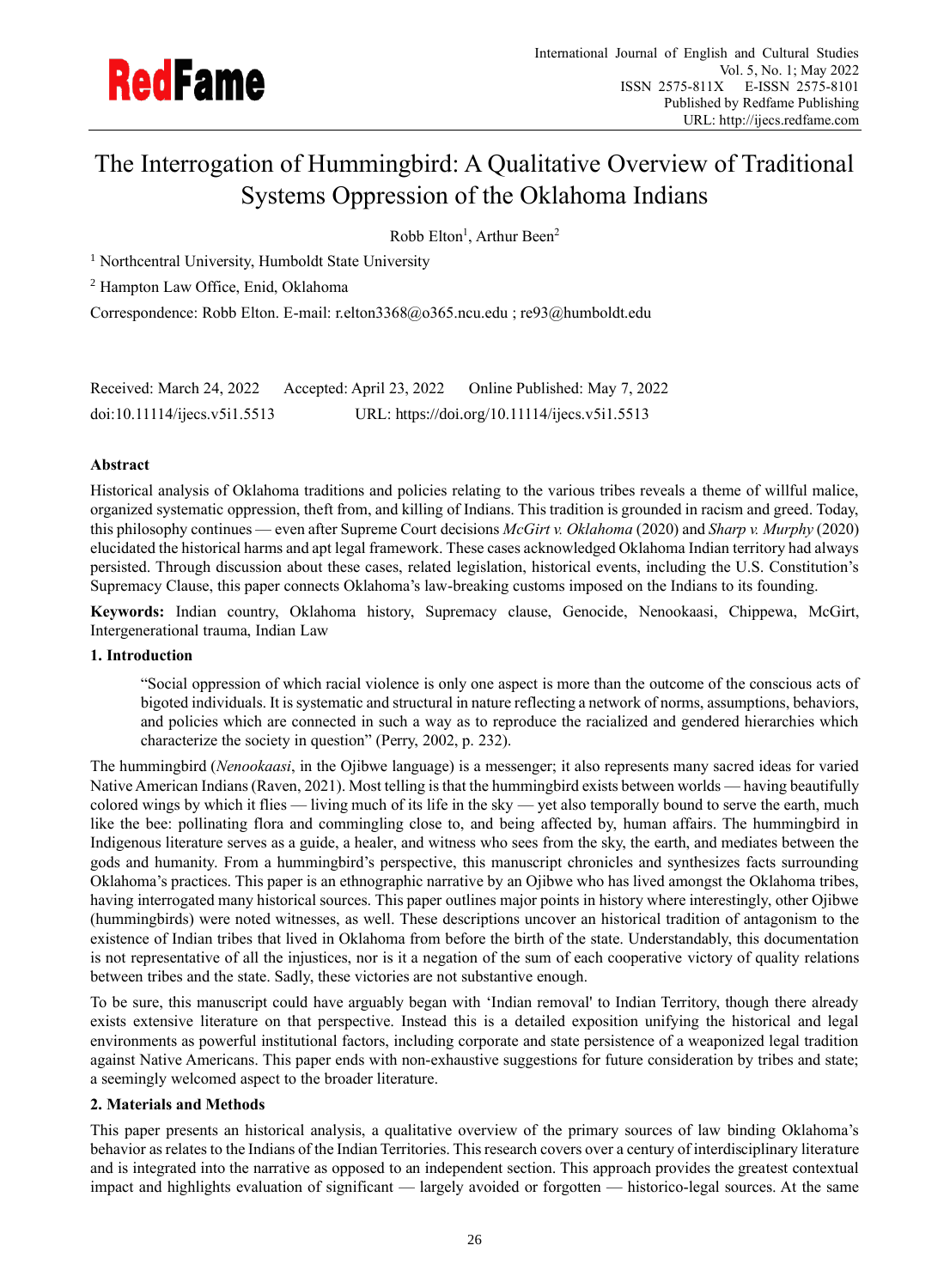

# The Interrogation of Hummingbird: A Qualitative Overview of Traditional Systems Oppression of the Oklahoma Indians

## Robb Elton<sup>1</sup>, Arthur Been<sup>2</sup>

<sup>1</sup> Northcentral University, Humboldt State University

<sup>2</sup> Hampton Law Office, Enid, Oklahoma

Correspondence: Robb Elton. E-mail: r.elton3368@o365.ncu.edu ; re93@humboldt.edu

| Received: March 24, 2022     | Accepted: April 23, 2022 | Online Published: May 7, 2022                 |
|------------------------------|--------------------------|-----------------------------------------------|
| doi:10.11114/jices.v5i1.5513 |                          | URL: https://doi.org/10.11114/ijecs.v5i1.5513 |

## **Abstract**

Historical analysis of Oklahoma traditions and policies relating to the various tribes reveals a theme of willful malice, organized systematic oppression, theft from, and killing of Indians. This tradition is grounded in racism and greed. Today, this philosophy continues — even after Supreme Court decisions *McGirt v. Oklahoma* (2020) and *Sharp v. Murphy* (2020) elucidated the historical harms and apt legal framework. These cases acknowledged Oklahoma Indian territory had always persisted. Through discussion about these cases, related legislation, historical events, including the U.S. Constitution's Supremacy Clause, this paper connects Oklahoma's law-breaking customs imposed on the Indians to its founding.

**Keywords:** Indian country, Oklahoma history, Supremacy clause, Genocide, Nenookaasi, Chippewa, McGirt, Intergenerational trauma, Indian Law

## **1. Introduction**

"Social oppression of which racial violence is only one aspect is more than the outcome of the conscious acts of bigoted individuals. It is systematic and structural in nature reflecting a network of norms, assumptions, behaviors, and policies which are connected in such a way as to reproduce the racialized and gendered hierarchies which characterize the society in question" (Perry, 2002, p. 232).

The hummingbird (*Nenookaasi*, in the Ojibwe language) is a messenger; it also represents many sacred ideas for varied Native American Indians (Raven, 2021). Most telling is that the hummingbird exists between worlds — having beautifully colored wings by which it flies — living much of its life in the sky — yet also temporally bound to serve the earth, much like the bee: pollinating flora and commingling close to, and being affected by, human affairs. The hummingbird in Indigenous literature serves as a guide, a healer, and witness who sees from the sky, the earth, and mediates between the gods and humanity. From a hummingbird's perspective, this manuscript chronicles and synthesizes facts surrounding Oklahoma's practices. This paper is an ethnographic narrative by an Ojibwe who has lived amongst the Oklahoma tribes, having interrogated many historical sources. This paper outlines major points in history where interestingly, other Ojibwe (hummingbirds) were noted witnesses, as well. These descriptions uncover an historical tradition of antagonism to the existence of Indian tribes that lived in Oklahoma from before the birth of the state. Understandably, this documentation is not representative of all the injustices, nor is it a negation of the sum of each cooperative victory of quality relations between tribes and the state. Sadly, these victories are not substantive enough.

To be sure, this manuscript could have arguably began with 'Indian removal' to Indian Territory, though there already exists extensive literature on that perspective. Instead this is a detailed exposition unifying the historical and legal environments as powerful institutional factors, including corporate and state persistence of a weaponized legal tradition against Native Americans. This paper ends with non-exhaustive suggestions for future consideration by tribes and state; a seemingly welcomed aspect to the broader literature.

## **2. Materials and Methods**

This paper presents an historical analysis, a qualitative overview of the primary sources of law binding Oklahoma's behavior as relates to the Indians of the Indian Territories. This research covers over a century of interdisciplinary literature and is integrated into the narrative as opposed to an independent section. This approach provides the greatest contextual impact and highlights evaluation of significant — largely avoided or forgotten — historico-legal sources. At the same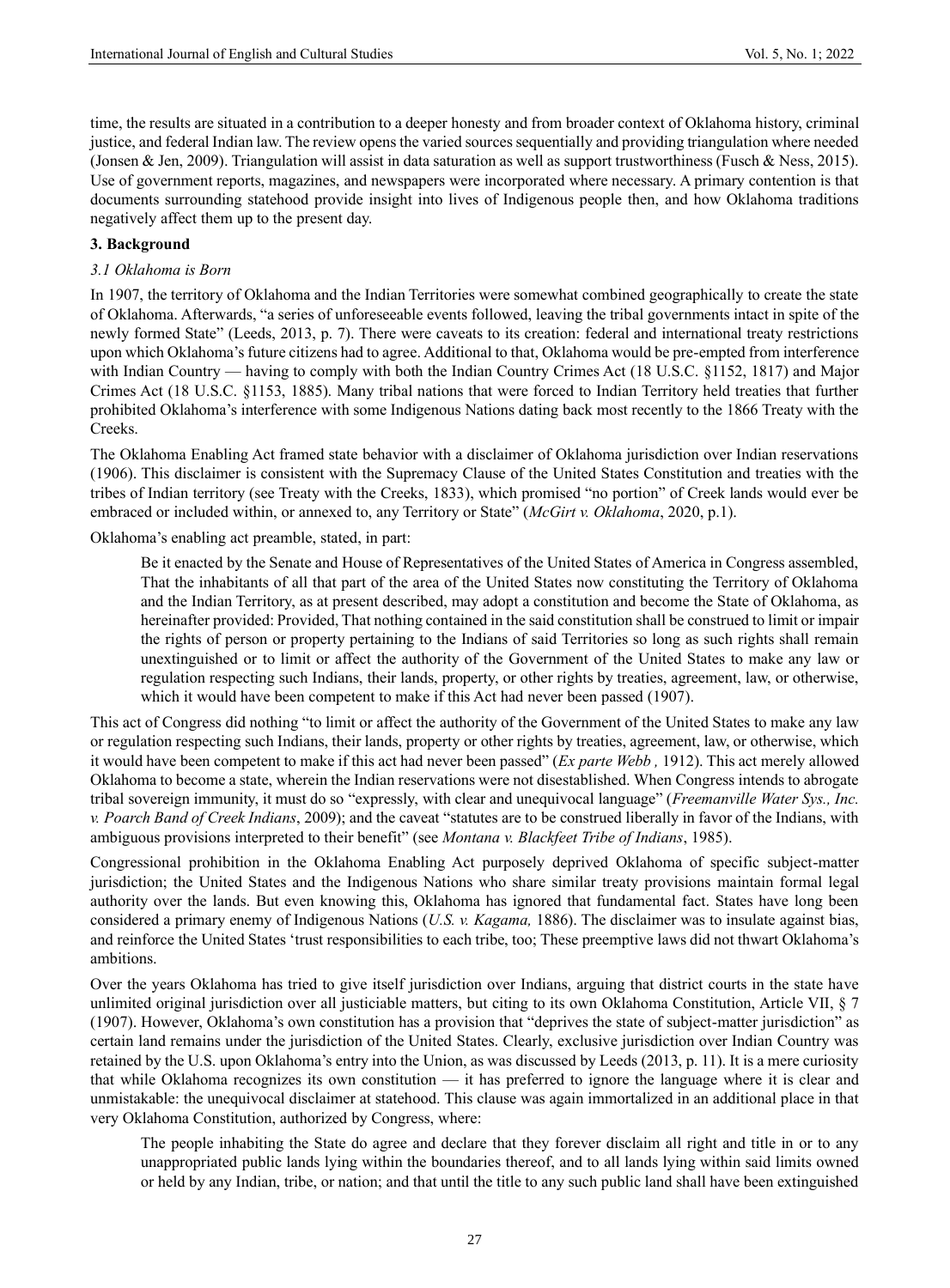time, the results are situated in a contribution to a deeper honesty and from broader context of Oklahoma history, criminal justice, and federal Indian law. The review opens the varied sources sequentially and providing triangulation where needed (Jonsen & Jen, 2009). Triangulation will assist in data saturation as well as support trustworthiness (Fusch & Ness, 2015). Use of government reports, magazines, and newspapers were incorporated where necessary. A primary contention is that documents surrounding statehood provide insight into lives of Indigenous people then, and how Oklahoma traditions negatively affect them up to the present day.

## **3. Background**

#### *3.1 Oklahoma is Born*

In 1907, the territory of Oklahoma and the Indian Territories were somewhat combined geographically to create the state of Oklahoma. Afterwards, "a series of unforeseeable events followed, leaving the tribal governments intact in spite of the newly formed State" (Leeds, 2013, p. 7). There were caveats to its creation: federal and international treaty restrictions upon which Oklahoma's future citizens had to agree. Additional to that, Oklahoma would be pre-empted from interference with Indian Country — having to comply with both the Indian Country Crimes Act (18 U.S.C. §1152, 1817) and Major Crimes Act (18 U.S.C. §1153, 1885). Many tribal nations that were forced to Indian Territory held treaties that further prohibited Oklahoma's interference with some Indigenous Nations dating back most recently to the 1866 Treaty with the Creeks.

The Oklahoma Enabling Act framed state behavior with a disclaimer of Oklahoma jurisdiction over Indian reservations (1906). This disclaimer is consistent with the Supremacy Clause of the United States Constitution and treaties with the tribes of Indian territory (see Treaty with the Creeks, 1833), which promised "no portion" of Creek lands would ever be embraced or included within, or annexed to, any Territory or State" (*McGirt v. Oklahoma*, 2020, p.1).

Oklahoma's enabling act preamble, stated, in part:

Be it enacted by the Senate and House of Representatives of the United States of America in Congress assembled, That the inhabitants of all that part of the area of the United States now constituting the Territory of Oklahoma and the Indian Territory, as at present described, may adopt a constitution and become the State of Oklahoma, as hereinafter provided: Provided, That nothing contained in the said constitution shall be construed to limit or impair the rights of person or property pertaining to the Indians of said Territories so long as such rights shall remain unextinguished or to limit or affect the authority of the Government of the United States to make any law or regulation respecting such Indians, their lands, property, or other rights by treaties, agreement, law, or otherwise, which it would have been competent to make if this Act had never been passed (1907).

This act of Congress did nothing "to limit or affect the authority of the Government of the United States to make any law or regulation respecting such Indians, their lands, property or other rights by treaties, agreement, law, or otherwise, which it would have been competent to make if this act had never been passed" (*Ex parte Webb ,* 1912). This act merely allowed Oklahoma to become a state, wherein the Indian reservations were not disestablished. When Congress intends to abrogate tribal sovereign immunity, it must do so "expressly, with clear and unequivocal language" (*Freemanville Water Sys., Inc. v. Poarch Band of Creek Indians*, 2009); and the caveat "statutes are to be construed liberally in favor of the Indians, with ambiguous provisions interpreted to their benefit" (see *Montana v. Blackfeet Tribe of Indians*, 1985).

Congressional prohibition in the Oklahoma Enabling Act purposely deprived Oklahoma of specific subject-matter jurisdiction; the United States and the Indigenous Nations who share similar treaty provisions maintain formal legal authority over the lands. But even knowing this, Oklahoma has ignored that fundamental fact. States have long been considered a primary enemy of Indigenous Nations (*U.S. v. Kagama,* 1886). The disclaimer was to insulate against bias, and reinforce the United States 'trust responsibilities to each tribe, too; These preemptive laws did not thwart Oklahoma's ambitions.

Over the years Oklahoma has tried to give itself jurisdiction over Indians, arguing that district courts in the state have unlimited original jurisdiction over all justiciable matters, but citing to its own Oklahoma Constitution, Article VII, § 7 (1907). However, Oklahoma's own constitution has a provision that "deprives the state of subject-matter jurisdiction" as certain land remains under the jurisdiction of the United States. Clearly, exclusive jurisdiction over Indian Country was retained by the U.S. upon Oklahoma's entry into the Union, as was discussed by Leeds (2013, p. 11). It is a mere curiosity that while Oklahoma recognizes its own constitution — it has preferred to ignore the language where it is clear and unmistakable: the unequivocal disclaimer at statehood. This clause was again immortalized in an additional place in that very Oklahoma Constitution, authorized by Congress, where:

The people inhabiting the State do agree and declare that they forever disclaim all right and title in or to any unappropriated public lands lying within the boundaries thereof, and to all lands lying within said limits owned or held by any Indian, tribe, or nation; and that until the title to any such public land shall have been extinguished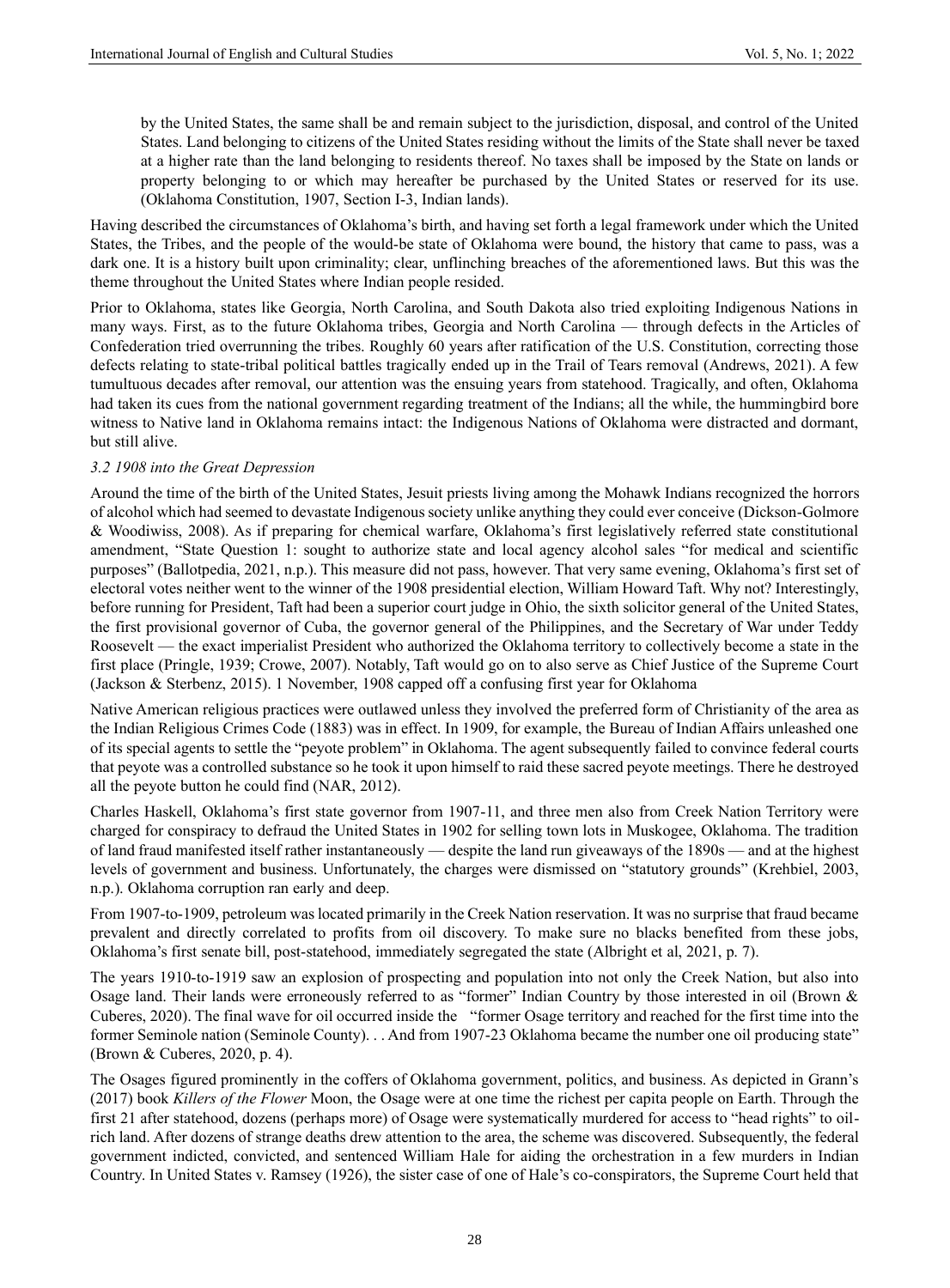by the United States, the same shall be and remain subject to the jurisdiction, disposal, and control of the United States. Land belonging to citizens of the United States residing without the limits of the State shall never be taxed at a higher rate than the land belonging to residents thereof. No taxes shall be imposed by the State on lands or property belonging to or which may hereafter be purchased by the United States or reserved for its use. (Oklahoma Constitution, 1907, Section I-3, Indian lands).

Having described the circumstances of Oklahoma's birth, and having set forth a legal framework under which the United States, the Tribes, and the people of the would-be state of Oklahoma were bound, the history that came to pass, was a dark one. It is a history built upon criminality; clear, unflinching breaches of the aforementioned laws. But this was the theme throughout the United States where Indian people resided.

Prior to Oklahoma, states like Georgia, North Carolina, and South Dakota also tried exploiting Indigenous Nations in many ways. First, as to the future Oklahoma tribes, Georgia and North Carolina — through defects in the Articles of Confederation tried overrunning the tribes. Roughly 60 years after ratification of the U.S. Constitution, correcting those defects relating to state-tribal political battles tragically ended up in the Trail of Tears removal (Andrews, 2021). A few tumultuous decades after removal, our attention was the ensuing years from statehood. Tragically, and often, Oklahoma had taken its cues from the national government regarding treatment of the Indians; all the while, the hummingbird bore witness to Native land in Oklahoma remains intact: the Indigenous Nations of Oklahoma were distracted and dormant, but still alive.

## *3.2 1908 into the Great Depression*

Around the time of the birth of the United States, Jesuit priests living among the Mohawk Indians recognized the horrors of alcohol which had seemed to devastate Indigenous society unlike anything they could ever conceive (Dickson-Golmore & Woodiwiss, 2008). As if preparing for chemical warfare, Oklahoma's first legislatively referred state constitutional amendment, "State Question 1: sought to authorize state and local agency alcohol sales "for medical and scientific purposes" (Ballotpedia, 2021, n.p.). This measure did not pass, however. That very same evening, Oklahoma's first set of electoral votes neither went to the winner of the 1908 presidential election, William Howard Taft. Why not? Interestingly, before running for President, Taft had been a superior court judge in Ohio, the sixth solicitor general of the United States, the first provisional governor of Cuba, the governor general of the Philippines, and the Secretary of War under Teddy Roosevelt — the exact imperialist President who authorized the Oklahoma territory to collectively become a state in the first place (Pringle, 1939; Crowe, 2007). Notably, Taft would go on to also serve as Chief Justice of the Supreme Court (Jackson & Sterbenz, 2015). 1 November, 1908 capped off a confusing first year for Oklahoma

Native American religious practices were outlawed unless they involved the preferred form of Christianity of the area as the Indian Religious Crimes Code (1883) was in effect. In 1909, for example, the Bureau of Indian Affairs unleashed one of its special agents to settle the "peyote problem" in Oklahoma. The agent subsequently failed to convince federal courts that peyote was a controlled substance so he took it upon himself to raid these sacred peyote meetings. There he destroyed all the peyote button he could find (NAR, 2012).

Charles Haskell, Oklahoma's first state governor from 1907-11, and three men also from Creek Nation Territory were charged for conspiracy to defraud the United States in 1902 for selling town lots in Muskogee, Oklahoma. The tradition of land fraud manifested itself rather instantaneously — despite the land run giveaways of the 1890s — and at the highest levels of government and business. Unfortunately, the charges were dismissed on "statutory grounds" (Krehbiel, 2003, n.p.). Oklahoma corruption ran early and deep.

From 1907-to-1909, petroleum was located primarily in the Creek Nation reservation. It was no surprise that fraud became prevalent and directly correlated to profits from oil discovery. To make sure no blacks benefited from these jobs, Oklahoma's first senate bill, post-statehood, immediately segregated the state (Albright et al, 2021, p. 7).

The years 1910-to-1919 saw an explosion of prospecting and population into not only the Creek Nation, but also into Osage land. Their lands were erroneously referred to as "former" Indian Country by those interested in oil (Brown & Cuberes, 2020). The final wave for oil occurred inside the "former Osage territory and reached for the first time into the former Seminole nation (Seminole County). . . And from 1907-23 Oklahoma became the number one oil producing state" (Brown & Cuberes, 2020, p. 4).

The Osages figured prominently in the coffers of Oklahoma government, politics, and business. As depicted in Grann's (2017) book *Killers of the Flower* Moon, the Osage were at one time the richest per capita people on Earth. Through the first 21 after statehood, dozens (perhaps more) of Osage were systematically murdered for access to "head rights" to oilrich land. After dozens of strange deaths drew attention to the area, the scheme was discovered. Subsequently, the federal government indicted, convicted, and sentenced William Hale for aiding the orchestration in a few murders in Indian Country. In United States v. Ramsey (1926), the sister case of one of Hale's co-conspirators, the Supreme Court held that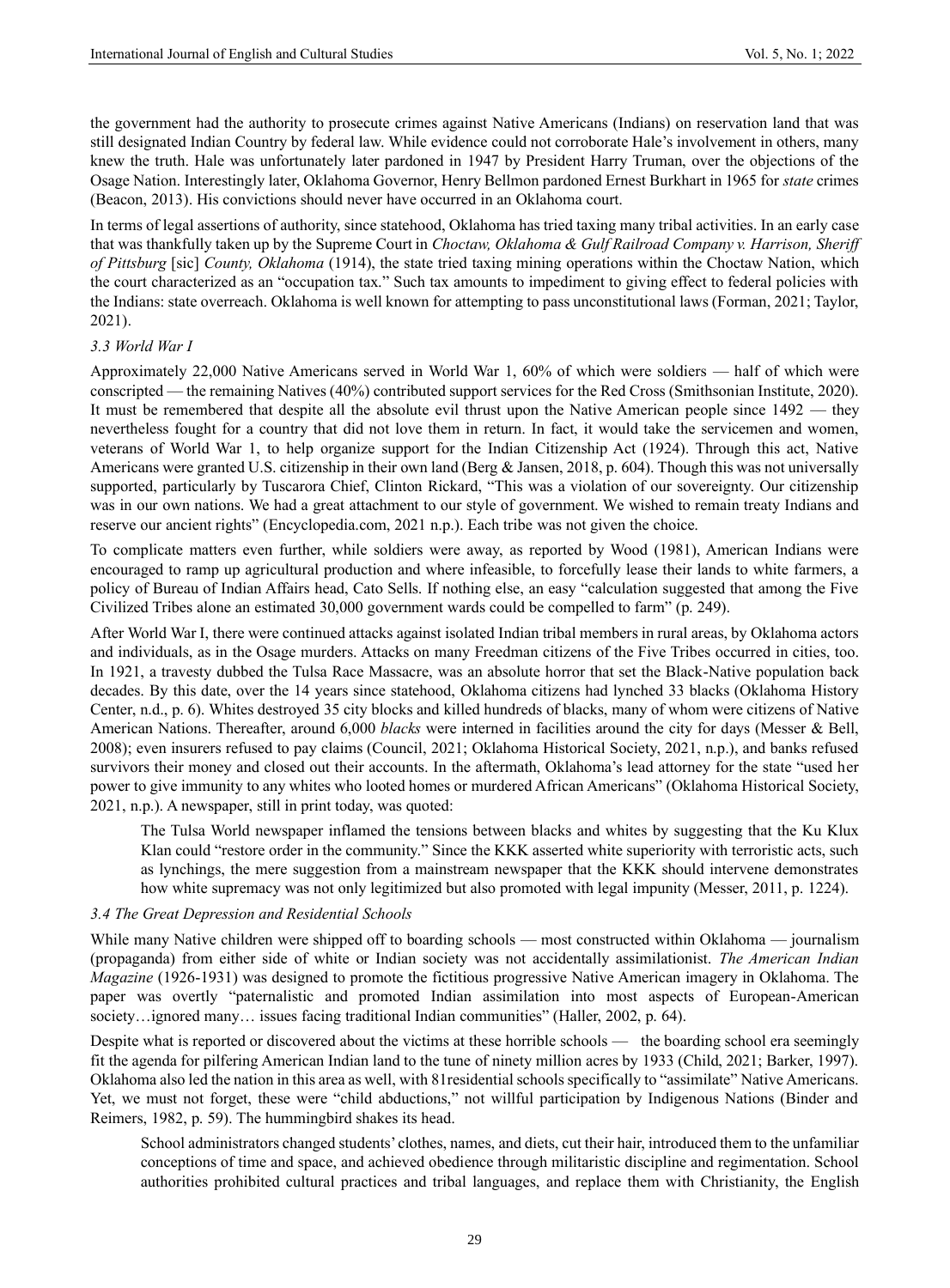the government had the authority to prosecute crimes against Native Americans (Indians) on reservation land that was still designated Indian Country by federal law. While evidence could not corroborate Hale's involvement in others, many knew the truth. Hale was unfortunately later pardoned in 1947 by President Harry Truman, over the objections of the Osage Nation. Interestingly later, Oklahoma Governor, Henry Bellmon pardoned Ernest Burkhart in 1965 for *state* crimes (Beacon, 2013). His convictions should never have occurred in an Oklahoma court.

In terms of legal assertions of authority, since statehood, Oklahoma has tried taxing many tribal activities. In an early case that was thankfully taken up by the Supreme Court in *Choctaw, Oklahoma & Gulf Railroad Company v. Harrison, Sheriff of Pittsburg* [sic] *County, Oklahoma* (1914), the state tried taxing mining operations within the Choctaw Nation, which the court characterized as an "occupation tax." Such tax amounts to impediment to giving effect to federal policies with the Indians: state overreach. Oklahoma is well known for attempting to pass unconstitutional laws (Forman, 2021; Taylor, 2021).

#### *3.3 World War I*

Approximately 22,000 Native Americans served in World War 1, 60% of which were soldiers — half of which were conscripted — the remaining Natives (40%) contributed support services for the Red Cross (Smithsonian Institute, 2020). It must be remembered that despite all the absolute evil thrust upon the Native American people since 1492 — they nevertheless fought for a country that did not love them in return. In fact, it would take the servicemen and women, veterans of World War 1, to help organize support for the Indian Citizenship Act (1924). Through this act, Native Americans were granted U.S. citizenship in their own land (Berg & Jansen, 2018, p. 604). Though this was not universally supported, particularly by Tuscarora Chief, Clinton Rickard, "This was a violation of our sovereignty. Our citizenship was in our own nations. We had a great attachment to our style of government. We wished to remain treaty Indians and reserve our ancient rights" (Encyclopedia.com, 2021 n.p.). Each tribe was not given the choice.

To complicate matters even further, while soldiers were away, as reported by Wood (1981), American Indians were encouraged to ramp up agricultural production and where infeasible, to forcefully lease their lands to white farmers, a policy of Bureau of Indian Affairs head, Cato Sells. If nothing else, an easy "calculation suggested that among the Five Civilized Tribes alone an estimated 30,000 government wards could be compelled to farm" (p. 249).

After World War I, there were continued attacks against isolated Indian tribal members in rural areas, by Oklahoma actors and individuals, as in the Osage murders. Attacks on many Freedman citizens of the Five Tribes occurred in cities, too. In 1921, a travesty dubbed the Tulsa Race Massacre, was an absolute horror that set the Black-Native population back decades. By this date, over the 14 years since statehood, Oklahoma citizens had lynched 33 blacks (Oklahoma History Center, n.d., p. 6). Whites destroyed 35 city blocks and killed hundreds of blacks, many of whom were citizens of Native American Nations. Thereafter, around 6,000 *blacks* were interned in facilities around the city for days (Messer & Bell, 2008); even insurers refused to pay claims (Council, 2021; Oklahoma Historical Society, 2021, n.p.), and banks refused survivors their money and closed out their accounts. In the aftermath, Oklahoma's lead attorney for the state "used her power to give immunity to any whites who looted homes or murdered African Americans" (Oklahoma Historical Society, 2021, n.p.). A newspaper, still in print today, was quoted:

The Tulsa World newspaper inflamed the tensions between blacks and whites by suggesting that the Ku Klux Klan could "restore order in the community." Since the KKK asserted white superiority with terroristic acts, such as lynchings, the mere suggestion from a mainstream newspaper that the KKK should intervene demonstrates how white supremacy was not only legitimized but also promoted with legal impunity (Messer, 2011, p. 1224).

#### *3.4 The Great Depression and Residential Schools*

While many Native children were shipped off to boarding schools — most constructed within Oklahoma — journalism (propaganda) from either side of white or Indian society was not accidentally assimilationist. *The American Indian Magazine* (1926-1931) was designed to promote the fictitious progressive Native American imagery in Oklahoma. The paper was overtly "paternalistic and promoted Indian assimilation into most aspects of European-American society…ignored many… issues facing traditional Indian communities" (Haller, 2002, p. 64).

Despite what is reported or discovered about the victims at these horrible schools — the boarding school era seemingly fit the agenda for pilfering American Indian land to the tune of ninety million acres by 1933 (Child, 2021; Barker, 1997). Oklahoma also led the nation in this area as well, with 81residential schools specifically to "assimilate" Native Americans. Yet, we must not forget, these were "child abductions," not willful participation by Indigenous Nations (Binder and Reimers, 1982, p. 59). The hummingbird shakes its head.

School administrators changed students' clothes, names, and diets, cut their hair, introduced them to the unfamiliar conceptions of time and space, and achieved obedience through militaristic discipline and regimentation. School authorities prohibited cultural practices and tribal languages, and replace them with Christianity, the English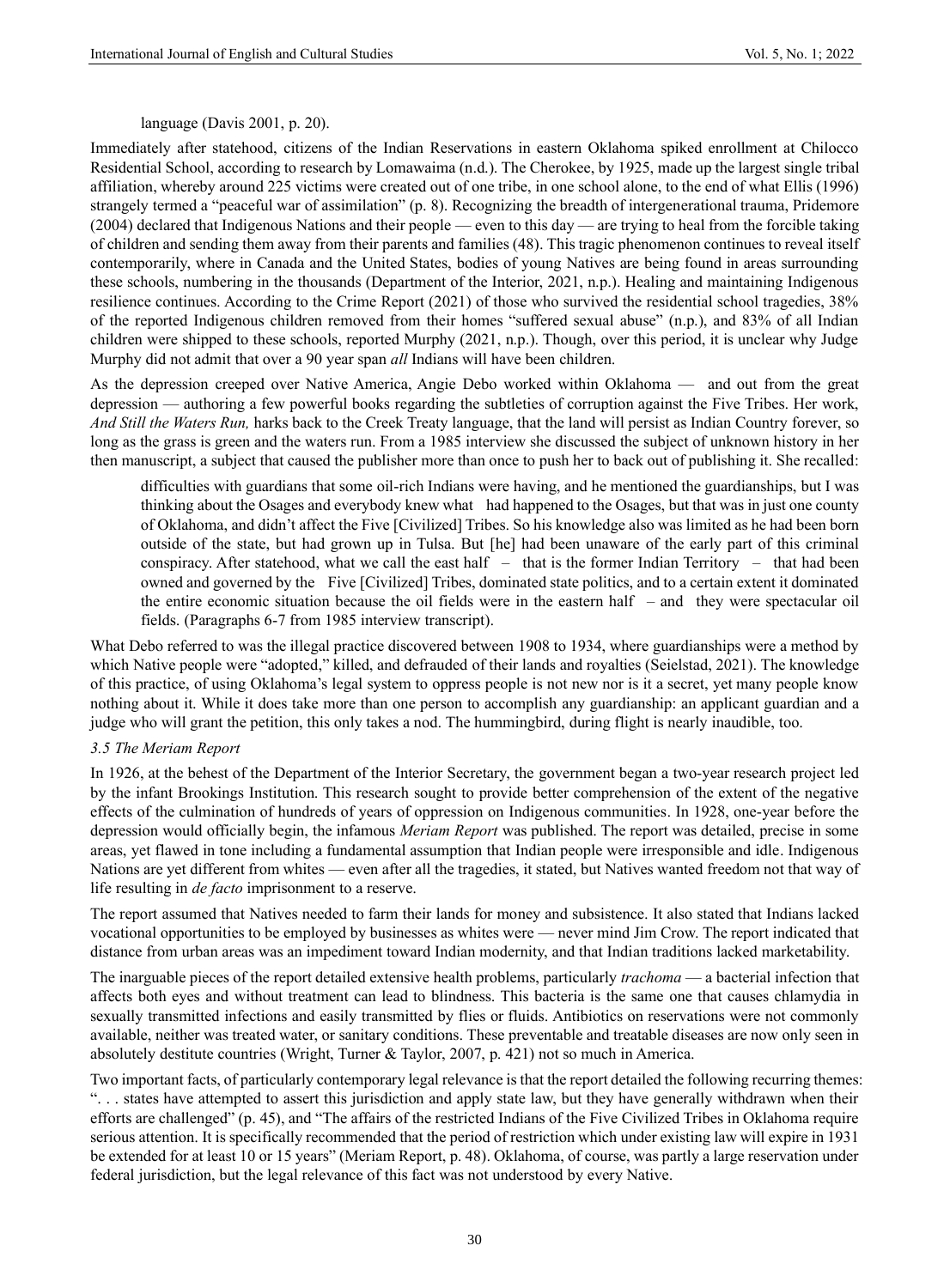language (Davis 2001, p. 20).

Immediately after statehood, citizens of the Indian Reservations in eastern Oklahoma spiked enrollment at Chilocco Residential School, according to research by Lomawaima (n.d.). The Cherokee, by 1925, made up the largest single tribal affiliation, whereby around 225 victims were created out of one tribe, in one school alone, to the end of what Ellis (1996) strangely termed a "peaceful war of assimilation" (p. 8). Recognizing the breadth of intergenerational trauma, Pridemore (2004) declared that Indigenous Nations and their people — even to this day — are trying to heal from the forcible taking of children and sending them away from their parents and families (48). This tragic phenomenon continues to reveal itself contemporarily, where in Canada and the United States, bodies of young Natives are being found in areas surrounding these schools, numbering in the thousands (Department of the Interior, 2021, n.p.). Healing and maintaining Indigenous resilience continues. According to the Crime Report (2021) of those who survived the residential school tragedies, 38% of the reported Indigenous children removed from their homes "suffered sexual abuse" (n.p.), and 83% of all Indian children were shipped to these schools, reported Murphy (2021, n.p.). Though, over this period, it is unclear why Judge Murphy did not admit that over a 90 year span *all* Indians will have been children.

As the depression creeped over Native America, Angie Debo worked within Oklahoma — and out from the great depression — authoring a few powerful books regarding the subtleties of corruption against the Five Tribes. Her work, *And Still the Waters Run,* harks back to the Creek Treaty language, that the land will persist as Indian Country forever, so long as the grass is green and the waters run. From a 1985 interview she discussed the subject of unknown history in her then manuscript, a subject that caused the publisher more than once to push her to back out of publishing it. She recalled:

difficulties with guardians that some oil-rich Indians were having, and he mentioned the guardianships, but I was thinking about the Osages and everybody knew what had happened to the Osages, but that was in just one county of Oklahoma, and didn't affect the Five [Civilized] Tribes. So his knowledge also was limited as he had been born outside of the state, but had grown up in Tulsa. But [he] had been unaware of the early part of this criminal conspiracy. After statehood, what we call the east half – that is the former Indian Territory – that had been owned and governed by the Five [Civilized] Tribes, dominated state politics, and to a certain extent it dominated the entire economic situation because the oil fields were in the eastern half – and they were spectacular oil fields. (Paragraphs 6-7 from 1985 interview transcript).

What Debo referred to was the illegal practice discovered between 1908 to 1934, where guardianships were a method by which Native people were "adopted," killed, and defrauded of their lands and royalties (Seielstad, 2021). The knowledge of this practice, of using Oklahoma's legal system to oppress people is not new nor is it a secret, yet many people know nothing about it. While it does take more than one person to accomplish any guardianship: an applicant guardian and a judge who will grant the petition, this only takes a nod. The hummingbird, during flight is nearly inaudible, too.

#### *3.5 The Meriam Report*

In 1926, at the behest of the Department of the Interior Secretary, the government began a two-year research project led by the infant Brookings Institution. This research sought to provide better comprehension of the extent of the negative effects of the culmination of hundreds of years of oppression on Indigenous communities. In 1928, one-year before the depression would officially begin, the infamous *Meriam Report* was published. The report was detailed, precise in some areas, yet flawed in tone including a fundamental assumption that Indian people were irresponsible and idle. Indigenous Nations are yet different from whites — even after all the tragedies, it stated, but Natives wanted freedom not that way of life resulting in *de facto* imprisonment to a reserve.

The report assumed that Natives needed to farm their lands for money and subsistence. It also stated that Indians lacked vocational opportunities to be employed by businesses as whites were — never mind Jim Crow. The report indicated that distance from urban areas was an impediment toward Indian modernity, and that Indian traditions lacked marketability.

The inarguable pieces of the report detailed extensive health problems, particularly *trachoma* — a bacterial infection that affects both eyes and without treatment can lead to blindness. This bacteria is the same one that causes chlamydia in sexually transmitted infections and easily transmitted by flies or fluids. Antibiotics on reservations were not commonly available, neither was treated water, or sanitary conditions. These preventable and treatable diseases are now only seen in absolutely destitute countries (Wright, Turner & Taylor, 2007, p. 421) not so much in America.

Two important facts, of particularly contemporary legal relevance is that the report detailed the following recurring themes: ". . . states have attempted to assert this jurisdiction and apply state law, but they have generally withdrawn when their efforts are challenged" (p. 45), and "The affairs of the restricted Indians of the Five Civilized Tribes in Oklahoma require serious attention. It is specifically recommended that the period of restriction which under existing law will expire in 1931 be extended for at least 10 or 15 years" (Meriam Report, p. 48). Oklahoma, of course, was partly a large reservation under federal jurisdiction, but the legal relevance of this fact was not understood by every Native.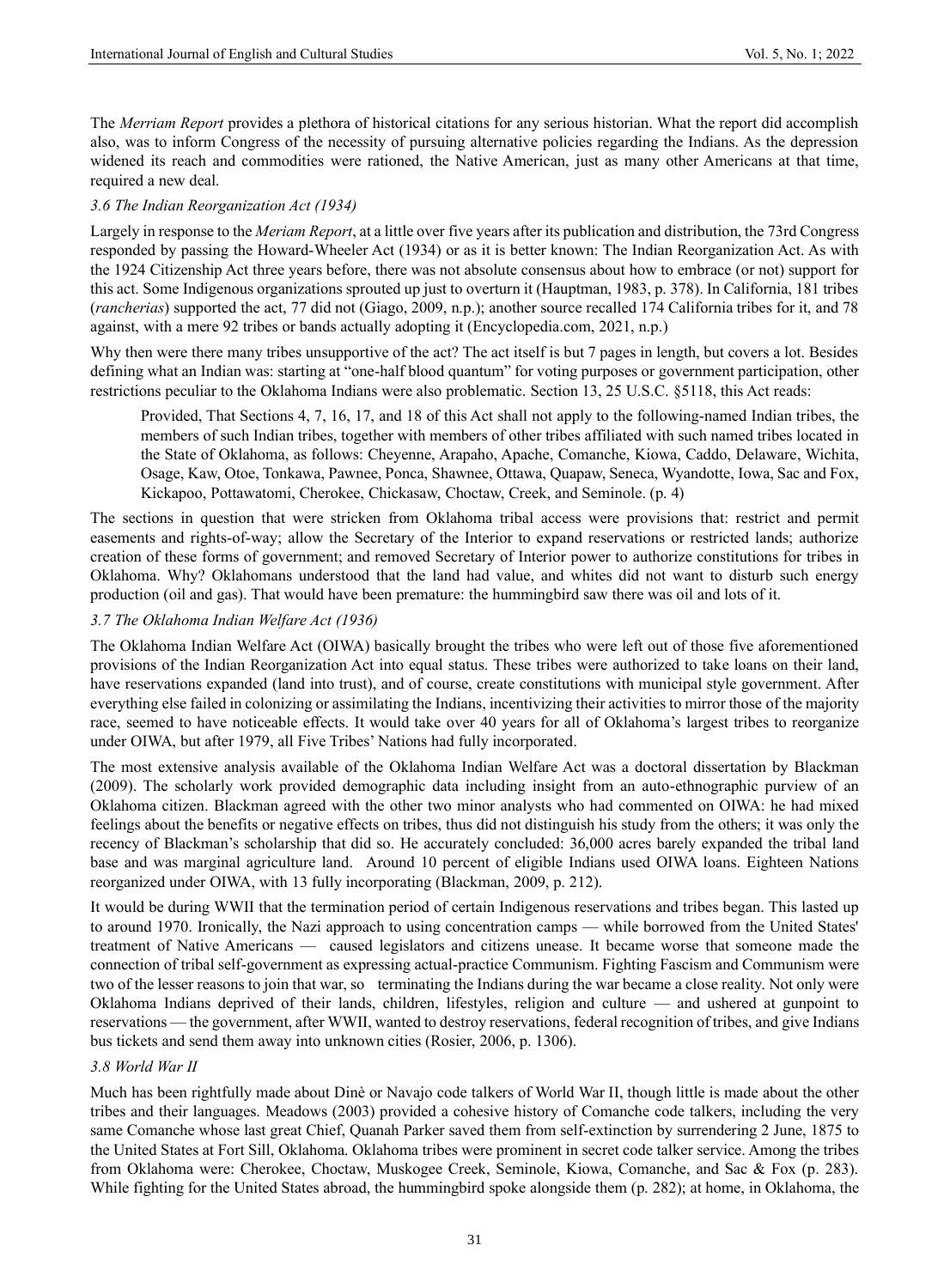The *Merriam Report* provides a plethora of historical citations for any serious historian. What the report did accomplish also, was to inform Congress of the necessity of pursuing alternative policies regarding the Indians. As the depression widened its reach and commodities were rationed, the Native American, just as many other Americans at that time, required a new deal.

#### *3.6 The Indian Reorganization Act (1934)*

Largely in response to the *Meriam Report*, at a little over five years after its publication and distribution, the 73rd Congress responded by passing the Howard-Wheeler Act (1934) or as it is better known: The Indian Reorganization Act. As with the 1924 Citizenship Act three years before, there was not absolute consensus about how to embrace (or not) support for this act. Some Indigenous organizations sprouted up just to overturn it (Hauptman, 1983, p. 378). In California, 181 tribes (*rancherias*) supported the act, 77 did not (Giago, 2009, n.p.); another source recalled 174 California tribes for it, and 78 against, with a mere 92 tribes or bands actually adopting it (Encyclopedia.com, 2021, n.p.)

Why then were there many tribes unsupportive of the act? The act itself is but 7 pages in length, but covers a lot. Besides defining what an Indian was: starting at "one-half blood quantum" for voting purposes or government participation, other restrictions peculiar to the Oklahoma Indians were also problematic. Section 13, 25 U.S.C. §5118, this Act reads:

Provided, That Sections 4, 7, 16, 17, and 18 of this Act shall not apply to the following-named Indian tribes, the members of such Indian tribes, together with members of other tribes affiliated with such named tribes located in the State of Oklahoma, as follows: Cheyenne, Arapaho, Apache, Comanche, Kiowa, Caddo, Delaware, Wichita, Osage, Kaw, Otoe, Tonkawa, Pawnee, Ponca, Shawnee, Ottawa, Quapaw, Seneca, Wyandotte, Iowa, Sac and Fox, Kickapoo, Pottawatomi, Cherokee, Chickasaw, Choctaw, Creek, and Seminole. (p. 4)

The sections in question that were stricken from Oklahoma tribal access were provisions that: restrict and permit easements and rights-of-way; allow the Secretary of the Interior to expand reservations or restricted lands; authorize creation of these forms of government; and removed Secretary of Interior power to authorize constitutions for tribes in Oklahoma. Why? Oklahomans understood that the land had value, and whites did not want to disturb such energy production (oil and gas). That would have been premature: the hummingbird saw there was oil and lots of it.

#### *3.7 The Oklahoma Indian Welfare Act (1936)*

The Oklahoma Indian Welfare Act (OIWA) basically brought the tribes who were left out of those five aforementioned provisions of the Indian Reorganization Act into equal status. These tribes were authorized to take loans on their land, have reservations expanded (land into trust), and of course, create constitutions with municipal style government. After everything else failed in colonizing or assimilating the Indians, incentivizing their activities to mirror those of the majority race, seemed to have noticeable effects. It would take over 40 years for all of Oklahoma's largest tribes to reorganize under OIWA, but after 1979, all Five Tribes' Nations had fully incorporated.

The most extensive analysis available of the Oklahoma Indian Welfare Act was a doctoral dissertation by Blackman (2009). The scholarly work provided demographic data including insight from an auto-ethnographic purview of an Oklahoma citizen. Blackman agreed with the other two minor analysts who had commented on OIWA: he had mixed feelings about the benefits or negative effects on tribes, thus did not distinguish his study from the others; it was only the recency of Blackman's scholarship that did so. He accurately concluded: 36,000 acres barely expanded the tribal land base and was marginal agriculture land. Around 10 percent of eligible Indians used OIWA loans. Eighteen Nations reorganized under OIWA, with 13 fully incorporating (Blackman, 2009, p. 212).

It would be during WWII that the termination period of certain Indigenous reservations and tribes began. This lasted up to around 1970. Ironically, the Nazi approach to using concentration camps — while borrowed from the United States' treatment of Native Americans — caused legislators and citizens unease. It became worse that someone made the connection of tribal self-government as expressing actual-practice Communism. Fighting Fascism and Communism were two of the lesser reasons to join that war, so terminating the Indians during the war became a close reality. Not only were Oklahoma Indians deprived of their lands, children, lifestyles, religion and culture — and ushered at gunpoint to reservations — the government, after WWII, wanted to destroy reservations, federal recognition of tribes, and give Indians bus tickets and send them away into unknown cities (Rosier, 2006, p. 1306).

#### *3.8 World War II*

Much has been rightfully made about Dinè or Navajo code talkers of World War II, though little is made about the other tribes and their languages. Meadows (2003) provided a cohesive history of Comanche code talkers, including the very same Comanche whose last great Chief, Quanah Parker saved them from self-extinction by surrendering 2 June, 1875 to the United States at Fort Sill, Oklahoma. Oklahoma tribes were prominent in secret code talker service. Among the tribes from Oklahoma were: Cherokee, Choctaw, Muskogee Creek, Seminole, Kiowa, Comanche, and Sac & Fox (p. 283). While fighting for the United States abroad, the hummingbird spoke alongside them (p. 282); at home, in Oklahoma, the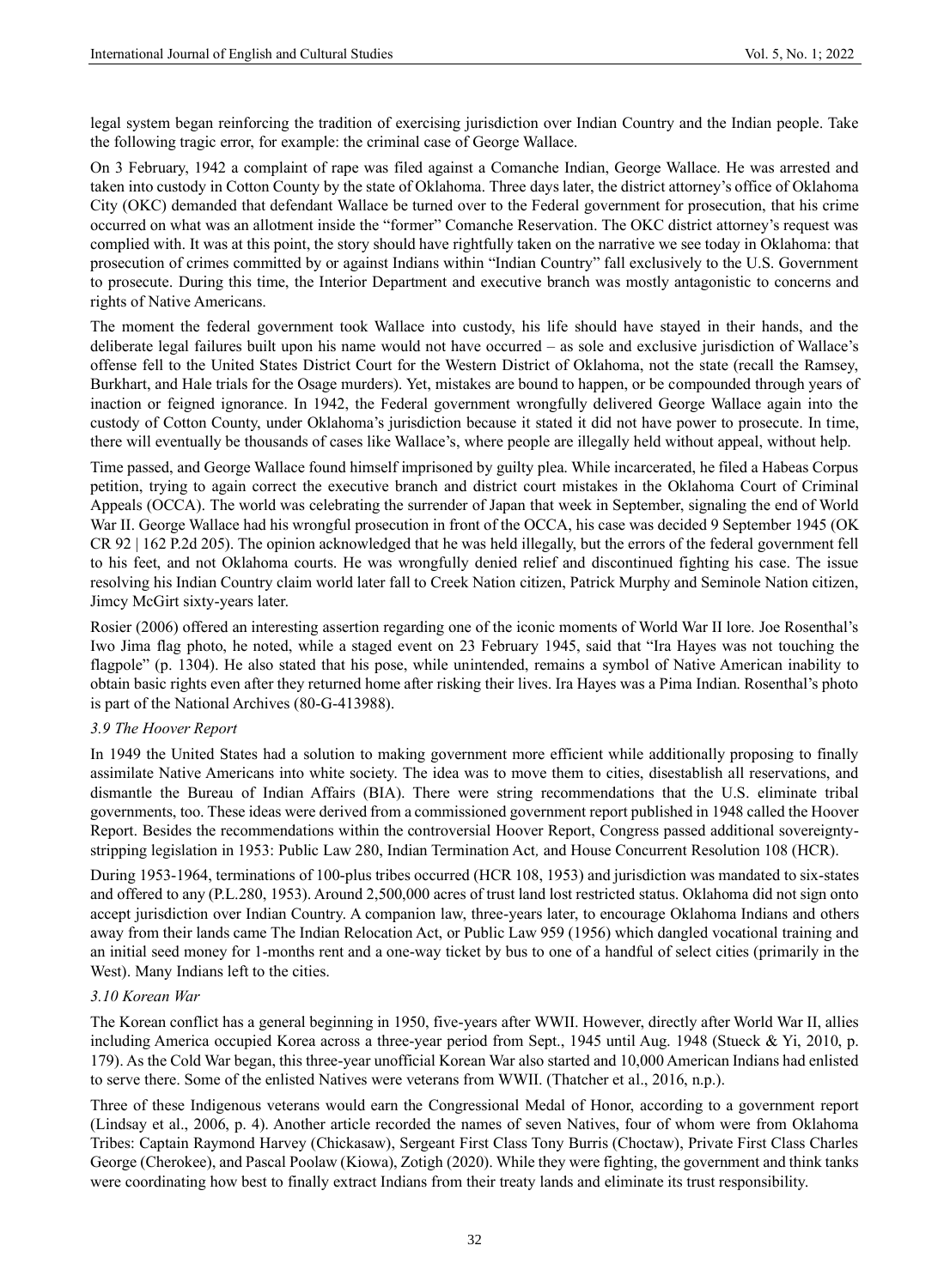legal system began reinforcing the tradition of exercising jurisdiction over Indian Country and the Indian people. Take the following tragic error, for example: the criminal case of George Wallace.

On 3 February, 1942 a complaint of rape was filed against a Comanche Indian, George Wallace. He was arrested and taken into custody in Cotton County by the state of Oklahoma. Three days later, the district attorney's office of Oklahoma City (OKC) demanded that defendant Wallace be turned over to the Federal government for prosecution, that his crime occurred on what was an allotment inside the "former" Comanche Reservation. The OKC district attorney's request was complied with. It was at this point, the story should have rightfully taken on the narrative we see today in Oklahoma: that prosecution of crimes committed by or against Indians within "Indian Country" fall exclusively to the U.S. Government to prosecute. During this time, the Interior Department and executive branch was mostly antagonistic to concerns and rights of Native Americans.

The moment the federal government took Wallace into custody, his life should have stayed in their hands, and the deliberate legal failures built upon his name would not have occurred – as sole and exclusive jurisdiction of Wallace's offense fell to the United States District Court for the Western District of Oklahoma, not the state (recall the Ramsey, Burkhart, and Hale trials for the Osage murders). Yet, mistakes are bound to happen, or be compounded through years of inaction or feigned ignorance. In 1942, the Federal government wrongfully delivered George Wallace again into the custody of Cotton County, under Oklahoma's jurisdiction because it stated it did not have power to prosecute. In time, there will eventually be thousands of cases like Wallace's, where people are illegally held without appeal, without help.

Time passed, and George Wallace found himself imprisoned by guilty plea. While incarcerated, he filed a Habeas Corpus petition, trying to again correct the executive branch and district court mistakes in the Oklahoma Court of Criminal Appeals (OCCA). The world was celebrating the surrender of Japan that week in September, signaling the end of World War II. George Wallace had his wrongful prosecution in front of the OCCA, his case was decided 9 September 1945 (OK CR 92 | 162 P.2d 205). The opinion acknowledged that he was held illegally, but the errors of the federal government fell to his feet, and not Oklahoma courts. He was wrongfully denied relief and discontinued fighting his case. The issue resolving his Indian Country claim world later fall to Creek Nation citizen, Patrick Murphy and Seminole Nation citizen, Jimcy McGirt sixty-years later.

Rosier (2006) offered an interesting assertion regarding one of the iconic moments of World War II lore. Joe Rosenthal's Iwo Jima flag photo, he noted, while a staged event on 23 February 1945, said that "Ira Hayes was not touching the flagpole" (p. 1304). He also stated that his pose, while unintended, remains a symbol of Native American inability to obtain basic rights even after they returned home after risking their lives. Ira Hayes was a Pima Indian. Rosenthal's photo is part of the National Archives (80-G-413988).

## *3.9 The Hoover Report*

In 1949 the United States had a solution to making government more efficient while additionally proposing to finally assimilate Native Americans into white society. The idea was to move them to cities, disestablish all reservations, and dismantle the Bureau of Indian Affairs (BIA). There were string recommendations that the U.S. eliminate tribal governments, too. These ideas were derived from a commissioned government report published in 1948 called the Hoover Report. Besides the recommendations within the controversial Hoover Report, Congress passed additional sovereigntystripping legislation in 1953: Public Law 280, Indian Termination Act*,* and House Concurrent Resolution 108 (HCR).

During 1953-1964, terminations of 100-plus tribes occurred (HCR 108, 1953) and jurisdiction was mandated to six-states and offered to any (P.L.280, 1953). Around 2,500,000 acres of trust land lost restricted status. Oklahoma did not sign onto accept jurisdiction over Indian Country. A companion law, three-years later, to encourage Oklahoma Indians and others away from their lands came The Indian Relocation Act, or Public Law 959 (1956) which dangled vocational training and an initial seed money for 1-months rent and a one-way ticket by bus to one of a handful of select cities (primarily in the West). Many Indians left to the cities.

## *3.10 Korean War*

The Korean conflict has a general beginning in 1950, five-years after WWII. However, directly after World War II, allies including America occupied Korea across a three-year period from Sept., 1945 until Aug. 1948 (Stueck & Yi, 2010, p. 179). As the Cold War began, this three-year unofficial Korean War also started and 10,000 American Indians had enlisted to serve there. Some of the enlisted Natives were veterans from WWII. (Thatcher et al., 2016, n.p.).

Three of these Indigenous veterans would earn the Congressional Medal of Honor, according to a government report (Lindsay et al., 2006, p. 4). Another article recorded the names of seven Natives, four of whom were from Oklahoma Tribes: Captain Raymond Harvey (Chickasaw), Sergeant First Class Tony Burris (Choctaw), Private First Class Charles George (Cherokee), and Pascal Poolaw (Kiowa), Zotigh (2020). While they were fighting, the government and think tanks were coordinating how best to finally extract Indians from their treaty lands and eliminate its trust responsibility.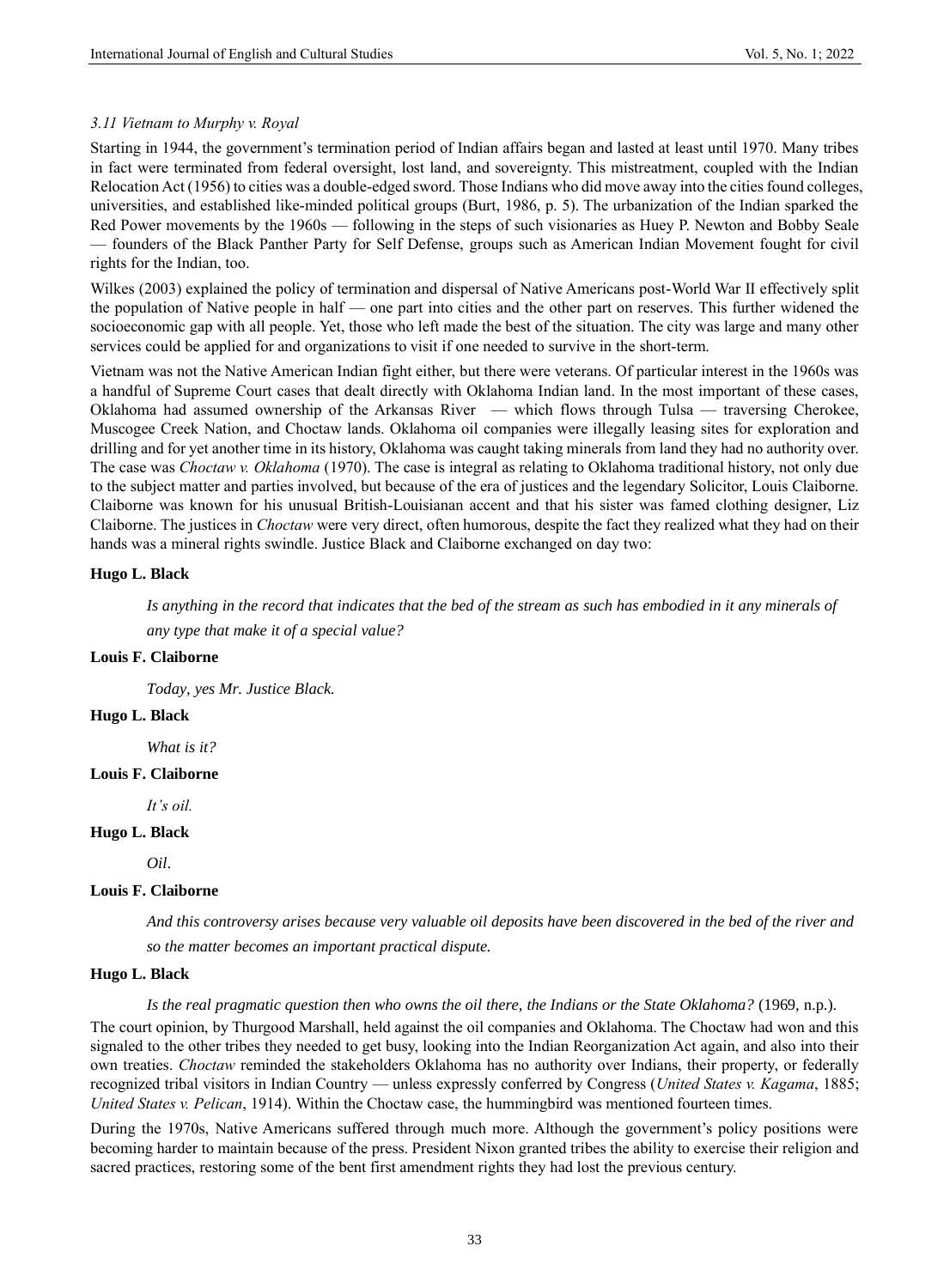## *3.11 Vietnam to Murphy v. Royal*

Starting in 1944, the government's termination period of Indian affairs began and lasted at least until 1970. Many tribes in fact were terminated from federal oversight, lost land, and sovereignty. This mistreatment, coupled with the Indian Relocation Act (1956) to cities was a double-edged sword. Those Indians who did move away into the cities found colleges, universities, and established like-minded political groups (Burt, 1986, p. 5). The urbanization of the Indian sparked the Red Power movements by the 1960s — following in the steps of such visionaries as Huey P. Newton and Bobby Seale — founders of the Black Panther Party for Self Defense, groups such as American Indian Movement fought for civil rights for the Indian, too.

Wilkes (2003) explained the policy of termination and dispersal of Native Americans post-World War II effectively split the population of Native people in half — one part into cities and the other part on reserves. This further widened the socioeconomic gap with all people. Yet, those who left made the best of the situation. The city was large and many other services could be applied for and organizations to visit if one needed to survive in the short-term.

Vietnam was not the Native American Indian fight either, but there were veterans. Of particular interest in the 1960s was a handful of Supreme Court cases that dealt directly with Oklahoma Indian land. In the most important of these cases, Oklahoma had assumed ownership of the Arkansas River — which flows through Tulsa — traversing Cherokee, Muscogee Creek Nation, and Choctaw lands. Oklahoma oil companies were illegally leasing sites for exploration and drilling and for yet another time in its history, Oklahoma was caught taking minerals from land they had no authority over. The case was *Choctaw v. Oklahoma* (1970). The case is integral as relating to Oklahoma traditional history, not only due to the subject matter and parties involved, but because of the era of justices and the legendary Solicitor, Louis Claiborne. Claiborne was known for his unusual British-Louisianan accent and that his sister was famed clothing designer, Liz Claiborne. The justices in *Choctaw* were very direct, often humorous, despite the fact they realized what they had on their hands was a mineral rights swindle. Justice Black and Claiborne exchanged on day two:

#### **Hugo L. Black**

*Is anything in the record that indicates that the bed of the stream as such has embodied in it any minerals of any type that make it of a special value?*

#### **Louis F. Claiborne**

*Today, yes Mr. Justice Black.*

## **Hugo L. Black**

*What is it?*

## **Louis F. Claiborne**

*It's oil.*

#### **Hugo L. Black**

*Oil*.

## **Louis F. Claiborne**

*And this controversy arises because very valuable oil deposits have been discovered in the bed of the river and so the matter becomes an important practical dispute.*

#### **Hugo L. Black**

*Is the real pragmatic question then who owns the oil there, the Indians or the State Oklahoma?* (1969, n.p.).

The court opinion, by Thurgood Marshall, held against the oil companies and Oklahoma. The Choctaw had won and this signaled to the other tribes they needed to get busy, looking into the Indian Reorganization Act again, and also into their own treaties. *Choctaw* reminded the stakeholders Oklahoma has no authority over Indians, their property, or federally recognized tribal visitors in Indian Country — unless expressly conferred by Congress (*United States v. Kagama*, 1885; *United States v. Pelican*, 1914). Within the Choctaw case, the hummingbird was mentioned fourteen times.

During the 1970s, Native Americans suffered through much more. Although the government's policy positions were becoming harder to maintain because of the press. President Nixon granted tribes the ability to exercise their religion and sacred practices, restoring some of the bent first amendment rights they had lost the previous century.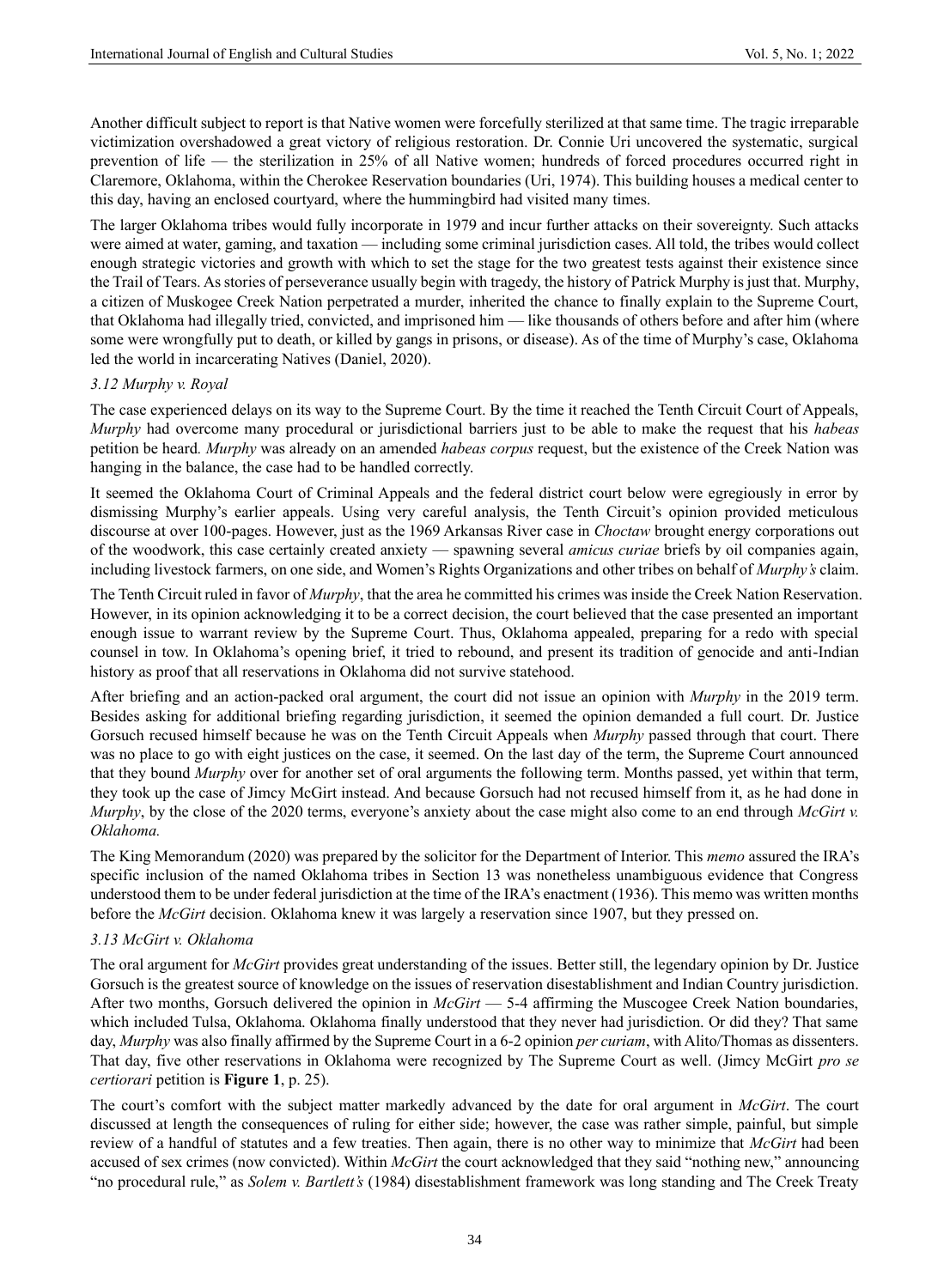Another difficult subject to report is that Native women were forcefully sterilized at that same time. The tragic irreparable victimization overshadowed a great victory of religious restoration. Dr. Connie Uri uncovered the systematic, surgical prevention of life — the sterilization in 25% of all Native women; hundreds of forced procedures occurred right in Claremore, Oklahoma, within the Cherokee Reservation boundaries (Uri, 1974). This building houses a medical center to this day, having an enclosed courtyard, where the hummingbird had visited many times.

The larger Oklahoma tribes would fully incorporate in 1979 and incur further attacks on their sovereignty. Such attacks were aimed at water, gaming, and taxation — including some criminal jurisdiction cases. All told, the tribes would collect enough strategic victories and growth with which to set the stage for the two greatest tests against their existence since the Trail of Tears. As stories of perseverance usually begin with tragedy, the history of Patrick Murphy is just that. Murphy, a citizen of Muskogee Creek Nation perpetrated a murder, inherited the chance to finally explain to the Supreme Court, that Oklahoma had illegally tried, convicted, and imprisoned him — like thousands of others before and after him (where some were wrongfully put to death, or killed by gangs in prisons, or disease). As of the time of Murphy's case, Oklahoma led the world in incarcerating Natives (Daniel, 2020).

#### *3.12 Murphy v. Royal*

The case experienced delays on its way to the Supreme Court. By the time it reached the Tenth Circuit Court of Appeals, *Murphy* had overcome many procedural or jurisdictional barriers just to be able to make the request that his *habeas* petition be heard*. Murphy* was already on an amended *habeas corpus* request, but the existence of the Creek Nation was hanging in the balance, the case had to be handled correctly.

It seemed the Oklahoma Court of Criminal Appeals and the federal district court below were egregiously in error by dismissing Murphy's earlier appeals. Using very careful analysis, the Tenth Circuit's opinion provided meticulous discourse at over 100-pages. However, just as the 1969 Arkansas River case in *Choctaw* brought energy corporations out of the woodwork, this case certainly created anxiety — spawning several *amicus curiae* briefs by oil companies again, including livestock farmers, on one side, and Women's Rights Organizations and other tribes on behalf of *Murphy's* claim.

The Tenth Circuit ruled in favor of *Murphy*, that the area he committed his crimes was inside the Creek Nation Reservation. However, in its opinion acknowledging it to be a correct decision, the court believed that the case presented an important enough issue to warrant review by the Supreme Court. Thus, Oklahoma appealed, preparing for a redo with special counsel in tow. In Oklahoma's opening brief, it tried to rebound, and present its tradition of genocide and anti-Indian history as proof that all reservations in Oklahoma did not survive statehood.

After briefing and an action-packed oral argument, the court did not issue an opinion with *Murphy* in the 2019 term. Besides asking for additional briefing regarding jurisdiction, it seemed the opinion demanded a full court. Dr. Justice Gorsuch recused himself because he was on the Tenth Circuit Appeals when *Murphy* passed through that court. There was no place to go with eight justices on the case, it seemed. On the last day of the term, the Supreme Court announced that they bound *Murphy* over for another set of oral arguments the following term. Months passed, yet within that term, they took up the case of Jimcy McGirt instead. And because Gorsuch had not recused himself from it, as he had done in *Murphy*, by the close of the 2020 terms, everyone's anxiety about the case might also come to an end through *McGirt v. Oklahoma.*

The King Memorandum (2020) was prepared by the solicitor for the Department of Interior. This *memo* assured the IRA's specific inclusion of the named Oklahoma tribes in Section 13 was nonetheless unambiguous evidence that Congress understood them to be under federal jurisdiction at the time of the IRA's enactment (1936). This memo was written months before the *McGirt* decision. Oklahoma knew it was largely a reservation since 1907, but they pressed on.

## *3.13 McGirt v. Oklahoma*

The oral argument for *McGirt* provides great understanding of the issues. Better still, the legendary opinion by Dr. Justice Gorsuch is the greatest source of knowledge on the issues of reservation disestablishment and Indian Country jurisdiction. After two months, Gorsuch delivered the opinion in *McGirt* — 5-4 affirming the Muscogee Creek Nation boundaries, which included Tulsa, Oklahoma. Oklahoma finally understood that they never had jurisdiction. Or did they? That same day, *Murphy* was also finally affirmed by the Supreme Court in a 6-2 opinion *per curiam*, with Alito/Thomas as dissenters. That day, five other reservations in Oklahoma were recognized by The Supreme Court as well. (Jimcy McGirt *pro se certiorari* petition is **Figure 1**, p. 25).

The court's comfort with the subject matter markedly advanced by the date for oral argument in *McGirt*. The court discussed at length the consequences of ruling for either side; however, the case was rather simple, painful, but simple review of a handful of statutes and a few treaties. Then again, there is no other way to minimize that *McGirt* had been accused of sex crimes (now convicted). Within *McGirt* the court acknowledged that they said "nothing new," announcing "no procedural rule," as *Solem v. Bartlett's* (1984) disestablishment framework was long standing and The Creek Treaty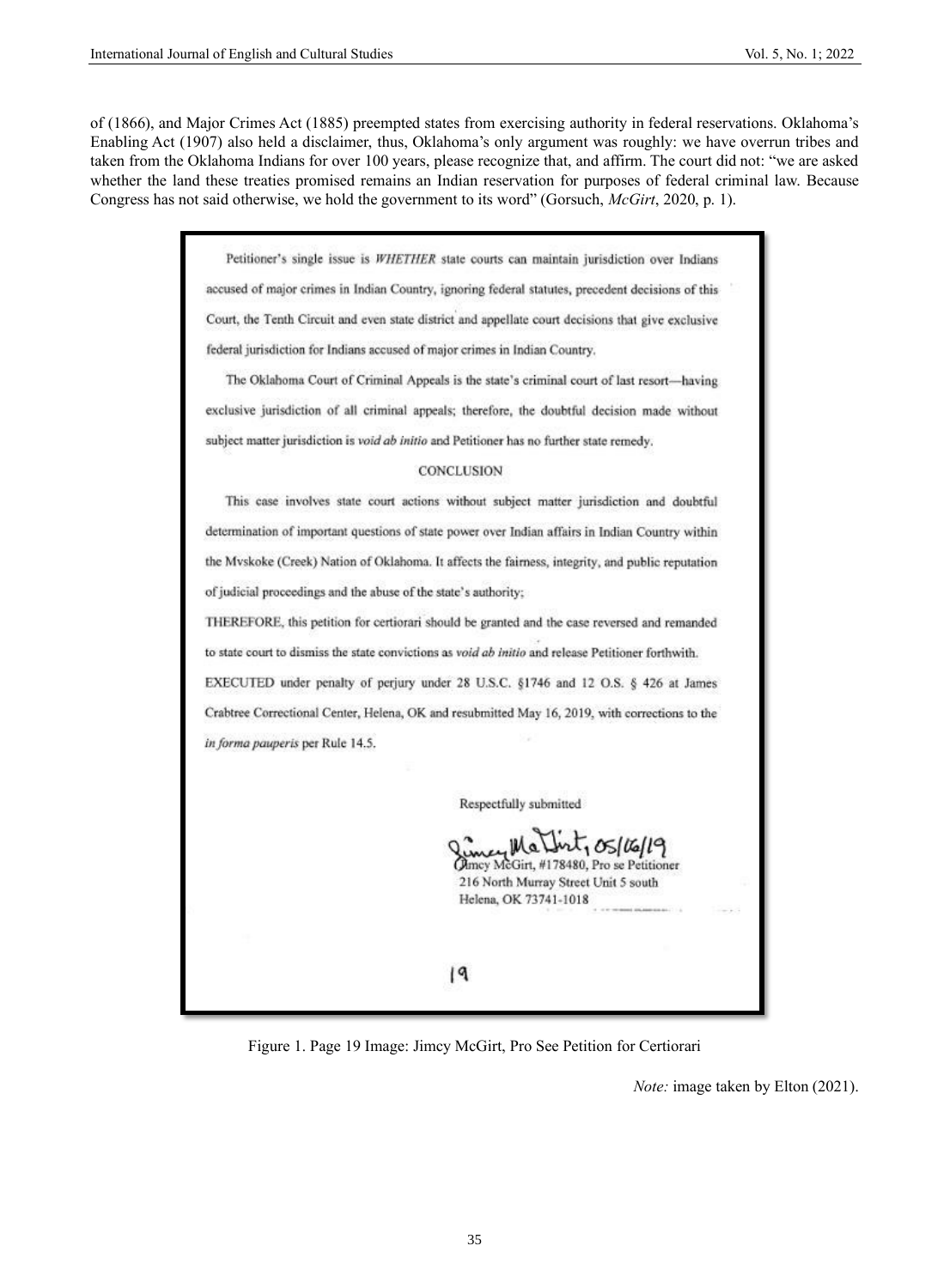of (1866), and Major Crimes Act (1885) preempted states from exercising authority in federal reservations. Oklahoma's Enabling Act (1907) also held a disclaimer, thus, Oklahoma's only argument was roughly: we have overrun tribes and taken from the Oklahoma Indians for over 100 years, please recognize that, and affirm. The court did not: "we are asked whether the land these treaties promised remains an Indian reservation for purposes of federal criminal law. Because Congress has not said otherwise, we hold the government to its word" (Gorsuch, *McGirt*, 2020, p. 1).

> Petitioner's single issue is WHETHER state courts can maintain jurisdiction over Indians accused of major crimes in Indian Country, ignoring federal statutes, precedent decisions of this Court, the Tenth Circuit and even state district and appellate court decisions that give exclusive federal jurisdiction for Indians accused of major crimes in Indian Country.

The Oklahoma Court of Criminal Appeals is the state's criminal court of last resort-having exclusive jurisdiction of all criminal appeals; therefore, the doubtful decision made without subject matter jurisdiction is void ab initio and Petitioner has no further state remedy.

#### CONCLUSION

This case involves state court actions without subject matter jurisdiction and doubtful determination of important questions of state power over Indian affairs in Indian Country within the Mvskoke (Creek) Nation of Oklahoma. It affects the fairness, integrity, and public reputation of judicial proceedings and the abuse of the state's authority;

THEREFORE, this petition for certiorari should be granted and the case reversed and remanded to state court to dismiss the state convictions as void ab initio and release Petitioner forthwith. EXECUTED under penalty of perjury under 28 U.S.C. §1746 and 12 O.S. § 426 at James Crabtree Correctional Center, Helena, OK and resubmitted May 16, 2019, with corrections to the in forma pauperis per Rule 14.5.

Respectfully submitted

ey Martint, 05/16/19 Olmey McGirt, #178480, Pro se Petitioner 216 North Murray Street Unit 5 south Helena, OK 73741-1018

19



*Note:* image taken by Elton (2021).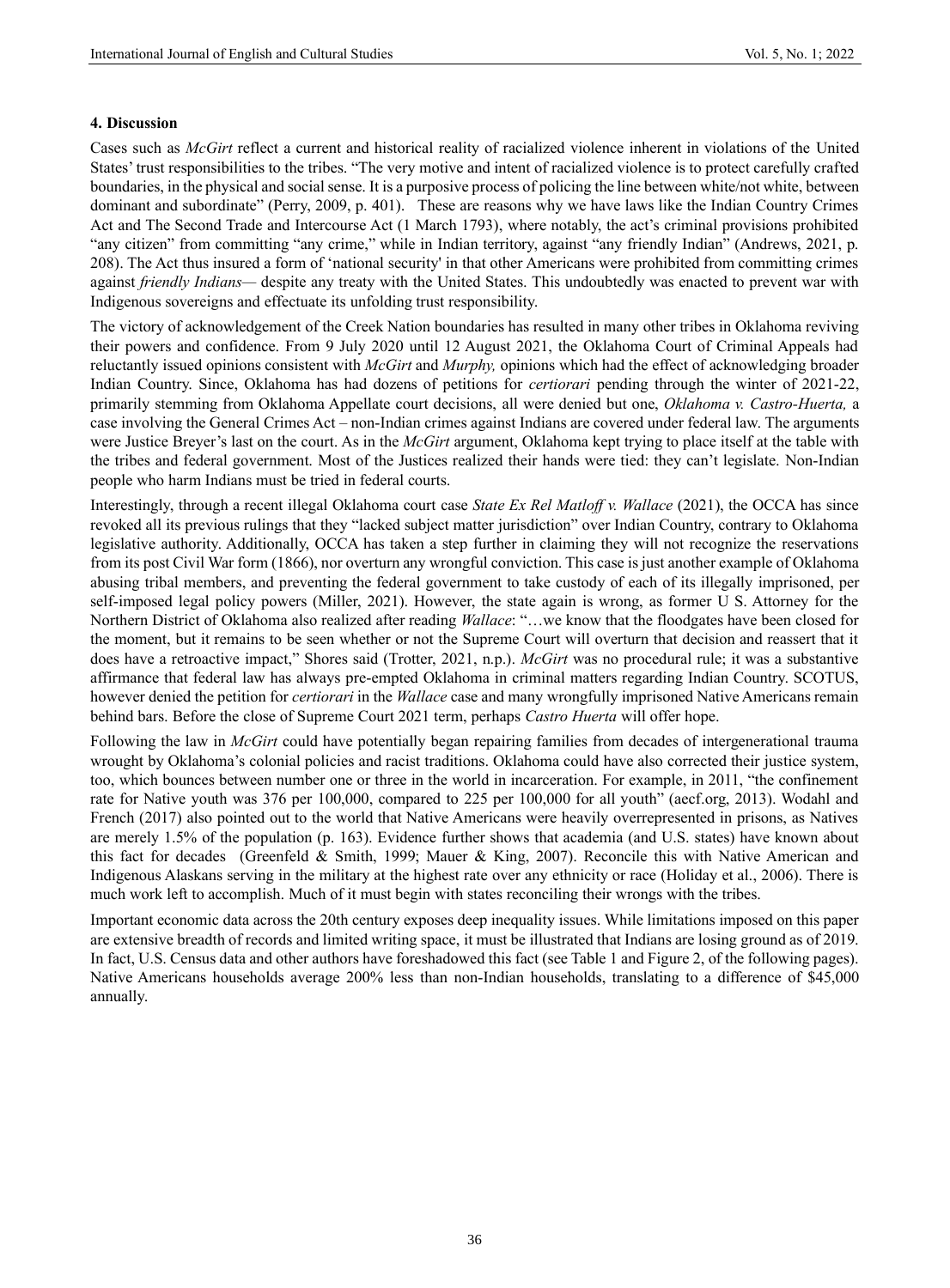#### **4. Discussion**

Cases such as *McGirt* reflect a current and historical reality of racialized violence inherent in violations of the United States' trust responsibilities to the tribes. "The very motive and intent of racialized violence is to protect carefully crafted boundaries, in the physical and social sense. It is a purposive process of policing the line between white/not white, between dominant and subordinate" (Perry, 2009, p. 401). These are reasons why we have laws like the Indian Country Crimes Act and The Second Trade and Intercourse Act (1 March 1793), where notably, the act's criminal provisions prohibited "any citizen" from committing "any crime," while in Indian territory, against "any friendly Indian" (Andrews, 2021, p. 208). The Act thus insured a form of 'national security' in that other Americans were prohibited from committing crimes against *friendly Indians—* despite any treaty with the United States. This undoubtedly was enacted to prevent war with Indigenous sovereigns and effectuate its unfolding trust responsibility.

The victory of acknowledgement of the Creek Nation boundaries has resulted in many other tribes in Oklahoma reviving their powers and confidence. From 9 July 2020 until 12 August 2021, the Oklahoma Court of Criminal Appeals had reluctantly issued opinions consistent with *McGirt* and *Murphy,* opinions which had the effect of acknowledging broader Indian Country. Since, Oklahoma has had dozens of petitions for *certiorari* pending through the winter of 2021-22, primarily stemming from Oklahoma Appellate court decisions, all were denied but one, *Oklahoma v. Castro-Huerta,* a case involving the General Crimes Act – non-Indian crimes against Indians are covered under federal law. The arguments were Justice Breyer's last on the court. As in the *McGirt* argument, Oklahoma kept trying to place itself at the table with the tribes and federal government. Most of the Justices realized their hands were tied: they can't legislate. Non-Indian people who harm Indians must be tried in federal courts.

Interestingly, through a recent illegal Oklahoma court case *State Ex Rel Matloff v. Wallace* (2021), the OCCA has since revoked all its previous rulings that they "lacked subject matter jurisdiction" over Indian Country, contrary to Oklahoma legislative authority. Additionally, OCCA has taken a step further in claiming they will not recognize the reservations from its post Civil War form (1866), nor overturn any wrongful conviction. This case is just another example of Oklahoma abusing tribal members, and preventing the federal government to take custody of each of its illegally imprisoned, per self-imposed legal policy powers (Miller, 2021). However, the state again is wrong, as former U S. Attorney for the Northern District of Oklahoma also realized after reading *Wallace*: "…we know that the floodgates have been closed for the moment, but it remains to be seen whether or not the Supreme Court will overturn that decision and reassert that it does have a retroactive impact," Shores said (Trotter, 2021, n.p.). *McGirt* was no procedural rule; it was a substantive affirmance that federal law has always pre-empted Oklahoma in criminal matters regarding Indian Country. SCOTUS, however denied the petition for *certiorari* in the *Wallace* case and many wrongfully imprisoned Native Americans remain behind bars. Before the close of Supreme Court 2021 term, perhaps *Castro Huerta* will offer hope.

Following the law in *McGirt* could have potentially began repairing families from decades of intergenerational trauma wrought by Oklahoma's colonial policies and racist traditions. Oklahoma could have also corrected their justice system, too, which bounces between number one or three in the world in incarceration. For example, in 2011, "the confinement rate for Native youth was 376 per 100,000, compared to 225 per 100,000 for all youth" (aecf.org, 2013). Wodahl and French (2017) also pointed out to the world that Native Americans were heavily overrepresented in prisons, as Natives are merely 1.5% of the population (p. 163). Evidence further shows that academia (and U.S. states) have known about this fact for decades (Greenfeld & Smith, 1999; Mauer & King, 2007). Reconcile this with Native American and Indigenous Alaskans serving in the military at the highest rate over any ethnicity or race (Holiday et al., 2006). There is much work left to accomplish. Much of it must begin with states reconciling their wrongs with the tribes.

Important economic data across the 20th century exposes deep inequality issues. While limitations imposed on this paper are extensive breadth of records and limited writing space, it must be illustrated that Indians are losing ground as of 2019. In fact, U.S. Census data and other authors have foreshadowed this fact (see Table 1 and Figure 2, of the following pages). Native Americans households average 200% less than non-Indian households, translating to a difference of \$45,000 annually.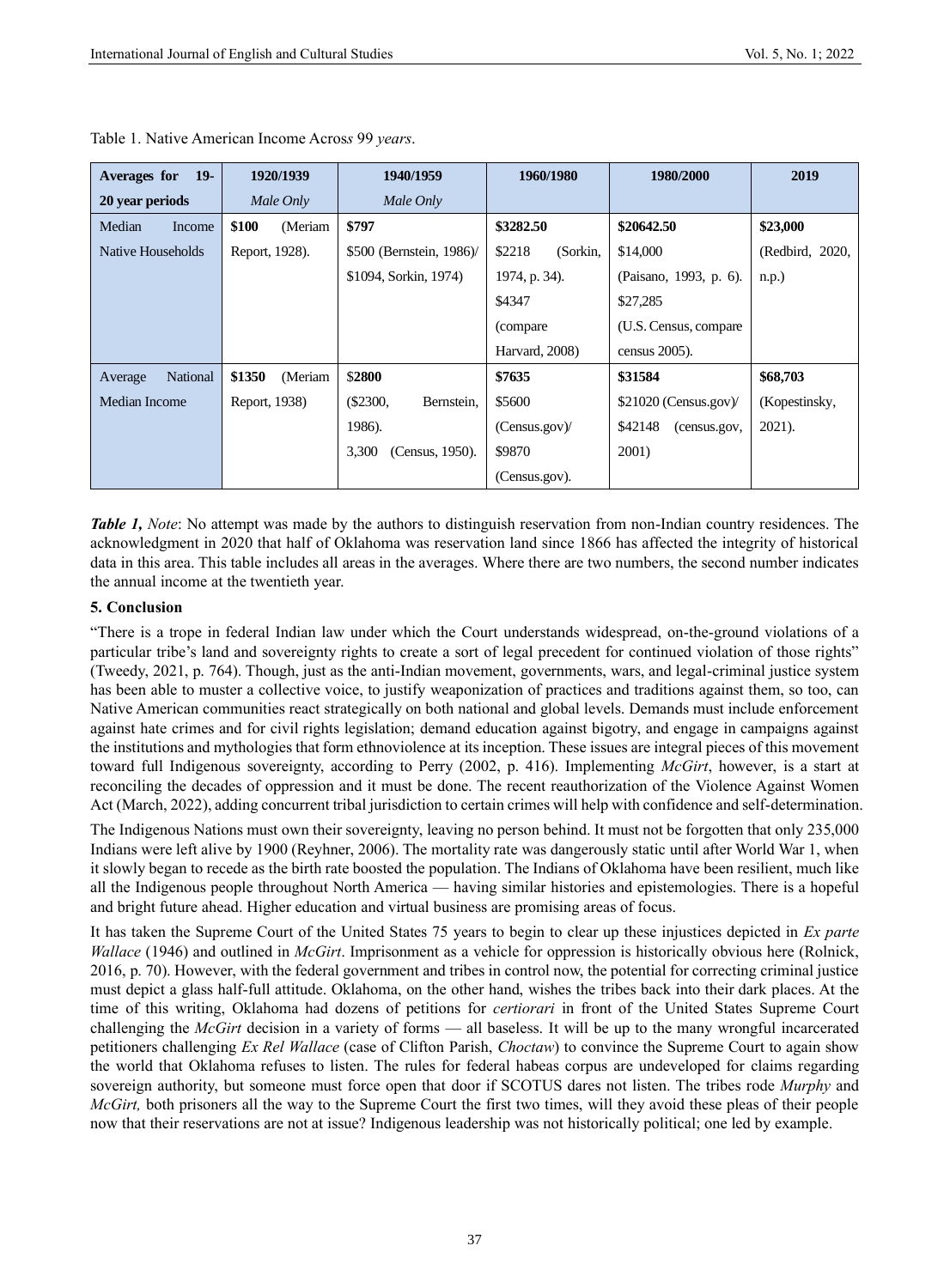| $19-$<br>Averages for | 1920/1939         | 1940/1959                | 1960/1980          | 1980/2000               | 2019            |
|-----------------------|-------------------|--------------------------|--------------------|-------------------------|-----------------|
| 20 year periods       | Male Only         | Male Only                |                    |                         |                 |
| Median<br>Income      | \$100<br>(Meriam  | \$797                    | \$3282.50          | \$20642.50              | \$23,000        |
| Native Households     | Report, 1928).    | \$500 (Bernstein, 1986)/ | \$2218<br>(Sorkin, | \$14,000                | (Redbird, 2020, |
|                       |                   | \$1094, Sorkin, 1974)    | 1974, p. 34).      | (Paisano, 1993, p. 6).  | n.p.)           |
|                       |                   |                          | \$4347             | \$27,285                |                 |
|                       |                   |                          | (compare)          | (U.S. Census, compare)  |                 |
|                       |                   |                          | Harvard, 2008)     | census 2005).           |                 |
| National<br>Average   | \$1350<br>(Meriam | \$2800                   | \$7635             | \$31584                 | \$68,703        |
| Median Income         | Report, 1938)     | $(\$2300,$<br>Bernstein. | \$5600             | $$21020$ (Census.gov)   | (Kopestinsky,   |
|                       |                   | 1986).                   | (Census.gov)       | \$42148<br>(census.gov, | 2021).          |
|                       |                   | 3,300<br>(Census, 1950). | \$9870             | 2001)                   |                 |
|                       |                   |                          | (Census.gov).      |                         |                 |

Table 1. Native American Income Acros*s* 99 *years*.

*Table 1, Note*: No attempt was made by the authors to distinguish reservation from non-Indian country residences. The acknowledgment in 2020 that half of Oklahoma was reservation land since 1866 has affected the integrity of historical data in this area. This table includes all areas in the averages. Where there are two numbers, the second number indicates the annual income at the twentieth year.

## **5. Conclusion**

"There is a trope in federal Indian law under which the Court understands widespread, on-the-ground violations of a particular tribe's land and sovereignty rights to create a sort of legal precedent for continued violation of those rights" (Tweedy, 2021, p. 764). Though, just as the anti-Indian movement, governments, wars, and legal-criminal justice system has been able to muster a collective voice, to justify weaponization of practices and traditions against them, so too, can Native American communities react strategically on both national and global levels. Demands must include enforcement against hate crimes and for civil rights legislation; demand education against bigotry, and engage in campaigns against the institutions and mythologies that form ethnoviolence at its inception. These issues are integral pieces of this movement toward full Indigenous sovereignty, according to Perry (2002, p. 416). Implementing *McGirt*, however, is a start at reconciling the decades of oppression and it must be done. The recent reauthorization of the Violence Against Women Act (March, 2022), adding concurrent tribal jurisdiction to certain crimes will help with confidence and self-determination.

The Indigenous Nations must own their sovereignty, leaving no person behind. It must not be forgotten that only 235,000 Indians were left alive by 1900 (Reyhner, 2006). The mortality rate was dangerously static until after World War 1, when it slowly began to recede as the birth rate boosted the population. The Indians of Oklahoma have been resilient, much like all the Indigenous people throughout North America — having similar histories and epistemologies. There is a hopeful and bright future ahead. Higher education and virtual business are promising areas of focus.

It has taken the Supreme Court of the United States 75 years to begin to clear up these injustices depicted in *Ex parte Wallace* (1946) and outlined in *McGirt*. Imprisonment as a vehicle for oppression is historically obvious here (Rolnick, 2016, p. 70). However, with the federal government and tribes in control now, the potential for correcting criminal justice must depict a glass half-full attitude. Oklahoma, on the other hand, wishes the tribes back into their dark places. At the time of this writing, Oklahoma had dozens of petitions for *certiorari* in front of the United States Supreme Court challenging the *McGirt* decision in a variety of forms — all baseless. It will be up to the many wrongful incarcerated petitioners challenging *Ex Rel Wallace* (case of Clifton Parish, *Choctaw*) to convince the Supreme Court to again show the world that Oklahoma refuses to listen. The rules for federal habeas corpus are undeveloped for claims regarding sovereign authority, but someone must force open that door if SCOTUS dares not listen. The tribes rode *Murphy* and *McGirt,* both prisoners all the way to the Supreme Court the first two times, will they avoid these pleas of their people now that their reservations are not at issue? Indigenous leadership was not historically political; one led by example.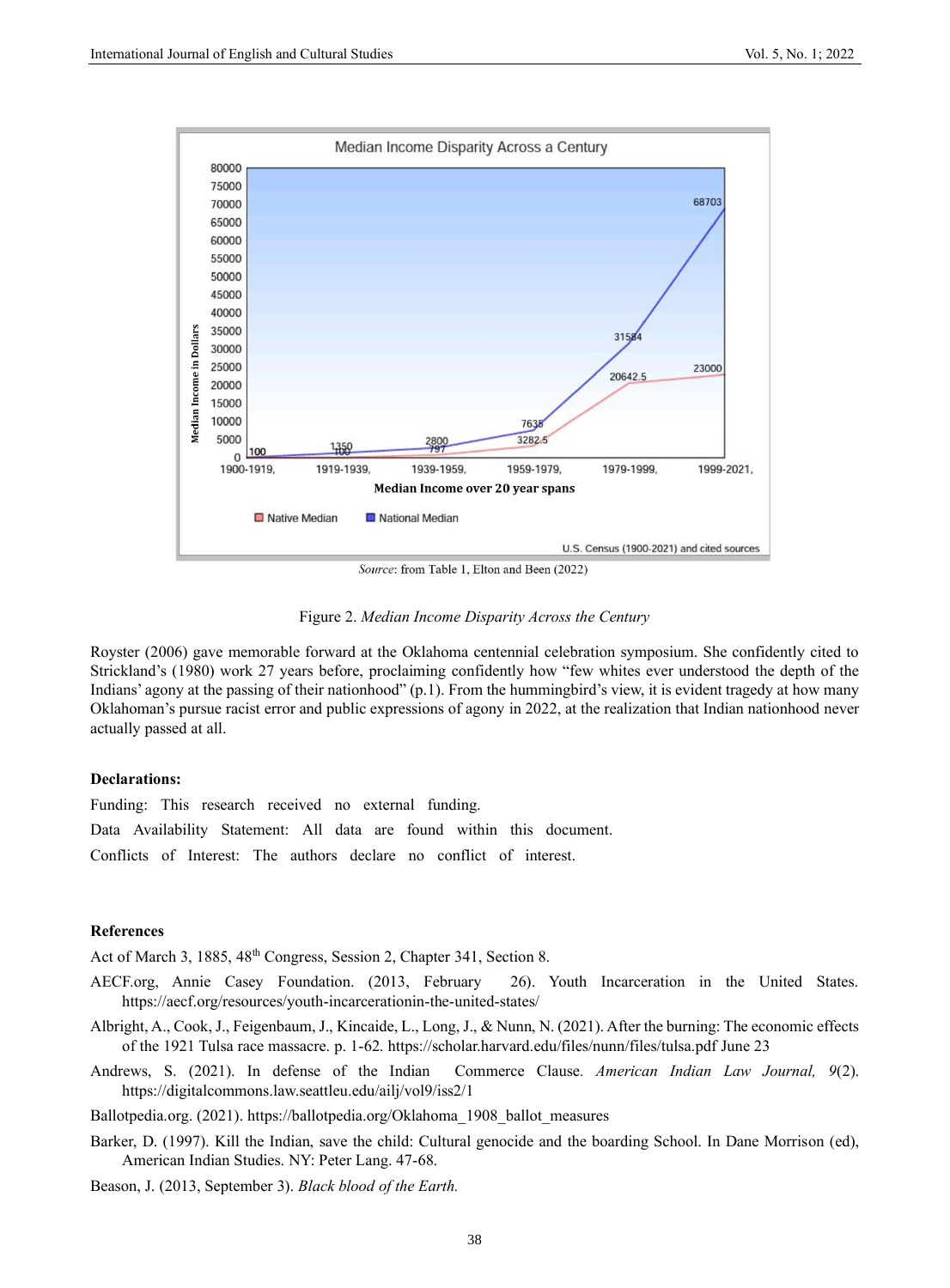

Source: from Table 1, Elton and Been (2022)

Figure 2. *Median Income Disparity Across the Century*

Royster (2006) gave memorable forward at the Oklahoma centennial celebration symposium. She confidently cited to Strickland's (1980) work 27 years before, proclaiming confidently how "few whites ever understood the depth of the Indians' agony at the passing of their nationhood" (p.1). From the hummingbird's view, it is evident tragedy at how many Oklahoman's pursue racist error and public expressions of agony in 2022, at the realization that Indian nationhood never actually passed at all.

#### **Declarations:**

Funding: This research received no external funding.

Data Availability Statement: All data are found within this document.

Conflicts of Interest: The authors declare no conflict of interest.

#### **References**

Act of March 3, 1885, 48<sup>th</sup> Congress, Session 2, Chapter 341, Section 8.

- AECF.org, Annie Casey Foundation. (2013, February 26). Youth Incarceration in the United States. <https://aecf.org/resources/youth-incarcerationin-the-united-states/>
- Albright, A., Cook, J., Feigenbaum, J., Kincaide, L., Long, J., & Nunn, N. (2021). After the burning: The economic effects of the 1921 Tulsa race massacre. p. 1-62.<https://scholar.harvard.edu/files/nunn/files/tulsa.pdf> June 23
- Andrews, S. (2021). In defense of the Indian Commerce Clause*. American Indian Law Journal, 9*(2). <https://digitalcommons.law.seattleu.edu/ailj/vol9/iss2/1>

Ballotpedia.org. (2021). [https://ballotpedia.org/Oklahoma\\_1908\\_ballot\\_measures](https://ballotpedia.org/Oklahoma_1908_ballot_measures)

Barker, D. (1997). Kill the Indian, save the child: Cultural genocide and the boarding School. In Dane Morrison (ed), American Indian Studies. NY: Peter Lang. 47-68.

Beason, J. (2013, September 3). *Black blood of the Earth.*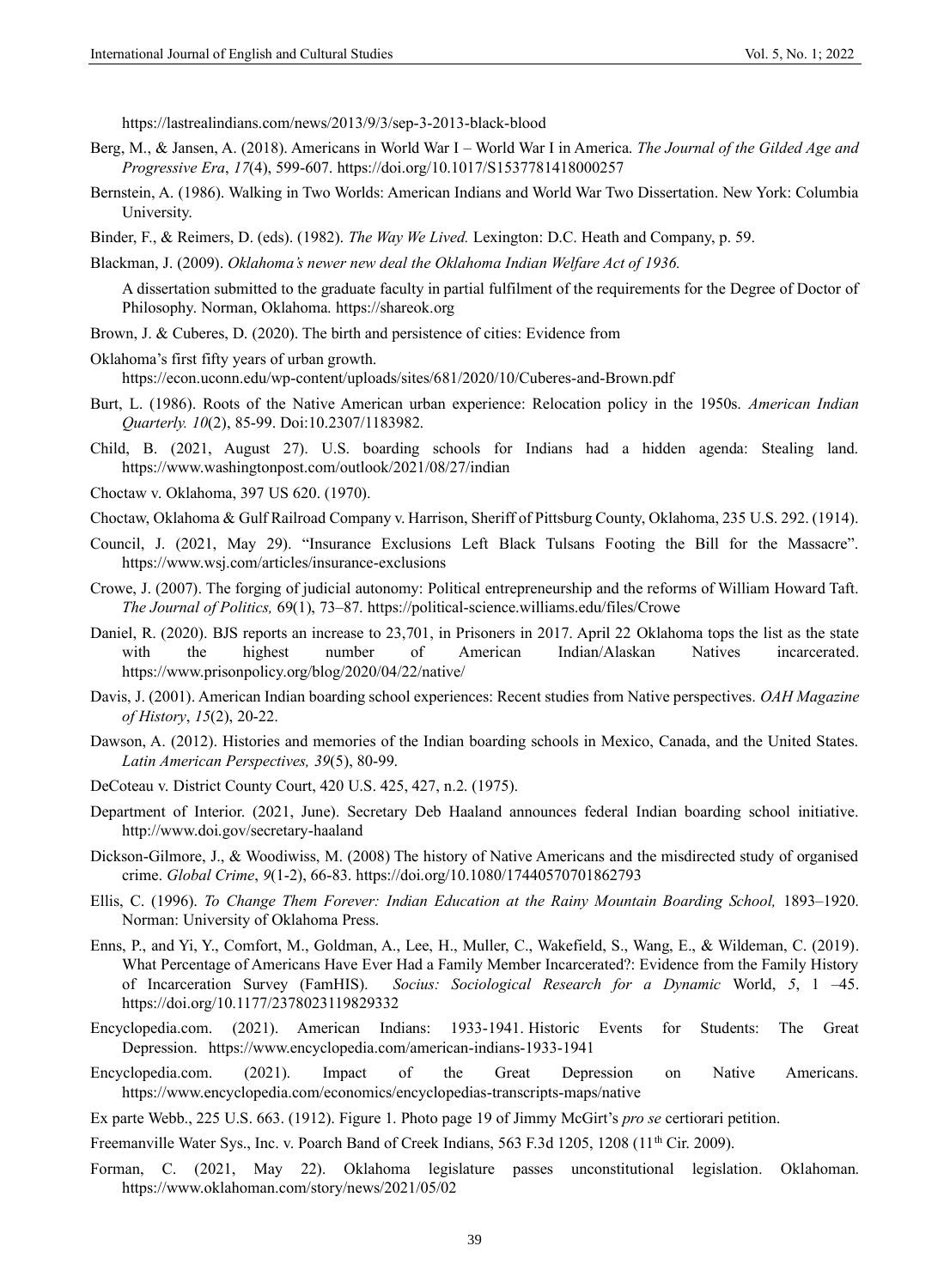[https://lastrealindians.com/news/2013/9/3/sep-3-2013-black-blood](https://lastrealindians.com/news/2013/9/3/sep-3-2013-black-blood-of-the-earth-by-jimmy-lee-beason)

- Berg, M., & Jansen, A. (2018). Americans in World War I World War I in America. *The Journal of the Gilded Age and Progressive Era*, *17*(4), 599-607.<https://doi.org/10.1017/S1537781418000257>
- Bernstein, A. (1986). Walking in Two Worlds: American Indians and World War Two Dissertation. New York: Columbia University.
- Binder, F., & Reimers, D. (eds). (1982). *The Way We Lived.* Lexington: D.C. Heath and Company, p. 59.
- Blackman, J. (2009). *Oklahoma's newer new deal the Oklahoma Indian Welfare Act of 1936.*

A dissertation submitted to the graduate faculty in partial fulfilment of the requirements for the Degree of Doctor of Philosophy. Norman, Oklahoma. [https://shareok.org](https://shareok.org/)

- Brown, J. & Cuberes, D. (2020). The birth and persistence of cities: Evidence from
- Oklahoma's first fifty years of urban growth. <https://econ.uconn.edu/wp-content/uploads/sites/681/2020/10/Cuberes-and-Brown.pdf>
- Burt, L. (1986). Roots of the Native American urban experience: Relocation policy in the 1950s. *American Indian Quarterly. 10*(2), 85-99. Doi:10.2307/1183982.
- Child, B. (2021, August 27). U.S. boarding schools for Indians had a hidden agenda: Stealing land. [https://www.washingtonpost.com/outlook/2021/08/27/indian](https://www.washingtonpost.com/outlook/2021/08/27/indian-boarding-schools-united-states/)
- Choctaw v. Oklahoma, 397 US 620. (1970).
- Choctaw, Oklahoma & Gulf Railroad Company v. Harrison, Sheriff of Pittsburg County, Oklahoma, 235 U.S. 292. (1914).
- Council, J. (2021, May 29). "Insurance Exclusions Left Black Tulsans Footing the Bill for the Massacre". [https://www.wsj.com/articles/insurance-exclusions](https://www.wsj.com/articles/insurance-exclusions-left-black-tulsans-footing-the-bill-for-the-massacre-11622293201)
- Crowe, J. (2007). The forging of judicial autonomy: Political entrepreneurship and the reforms of William Howard Taft. *The Journal of Politics,* 69(1), 73–87. [https://political-science.williams.edu/files/Crowe](https://political-science.williams.edu/files/Crowe-The-Forging-of-Judicial-Autonomy-JOP-69.1.pdf)
- Daniel, R. (2020). BJS reports an increase to 23,701, in Prisoners in 2017. April 22 Oklahoma tops the list as the state with the highest number of American Indian/Alaskan Natives incarcerated. <https://www.prisonpolicy.org/blog/2020/04/22/native/>
- Davis, J. (2001). American Indian boarding school experiences: Recent studies from Native perspectives. *OAH Magazine of History*, *15*(2), 20-22.
- Dawson, A. (2012). Histories and memories of the Indian boarding schools in Mexico, Canada, and the United States. *Latin American Perspectives, 39*(5), 80-99.
- DeCoteau v. District County Court, 420 U.S. 425, 427, n.2. (1975).
- Department of Interior. (2021, June). Secretary Deb Haaland announces federal Indian boarding school initiative. [http://www.doi.gov/secretary-haaland](http://www.doi.gov/pressreleases/secretary-haaland-announces-federal-indian-boarding-school-initiative)
- Dickson-Gilmore, J., & Woodiwiss, M. (2008) The history of Native Americans and the misdirected study of organised crime. *Global Crime*, *9*(1-2), 66-83.<https://doi.org/10.1080/17440570701862793>
- Ellis, C. (1996). *To Change Them Forever: Indian Education at the Rainy Mountain Boarding School*, 1893–1920. Norman: University of Oklahoma Press.
- Enns, P., and Yi, Y., Comfort, M., Goldman, A., Lee, H., Muller, C., Wakefield, S., Wang, E., & Wildeman, C. (2019). What Percentage of Americans Have Ever Had a Family Member Incarcerated?: Evidence from the Family History of Incarceration Survey (FamHIS). *Socius: Sociological Research for a Dynamic* World, *5*, 1 –45. <https://doi.org/10.1177/2378023119829332>
- Encyclopedia.com. (2021). American Indians: 1933-1941. Historic Events for Students: The Great Depression. [https://www.encyclopedia.com/american-indians-1933-1941](https://www.encyclopedia.com/education/news-and-education-magazines/american-indians-1933-1941)
- Encyclopedia.com. (2021). Impact of the Great Depression on Native Americans. [https://www.encyclopedia.com/economics/encyclopedias-transcripts-maps/native](https://www.encyclopedia.com/economics/encyclopedias-almanacs-transcripts-and-maps/native-americans-impact-great-depression)

Ex parte Webb., 225 U.S. 663. (1912). Figure 1. Photo page 19 of Jimmy McGirt's *pro se* certiorari petition.

- Freemanville Water Sys., Inc. v. Poarch Band of Creek Indians, 563 F.3d 1205, 1208 (11<sup>th</sup> Cir. 2009).
- Forman, C. (2021, May 22). Oklahoma legislature passes unconstitutional legislation. Oklahoman. [https://www.oklahoman.com/story/news/2021/05/02](https://www.oklahoman.com/story/news/2021/05/02/oklahoma-legislature-passes-unconstitutional-laws/7252789002/)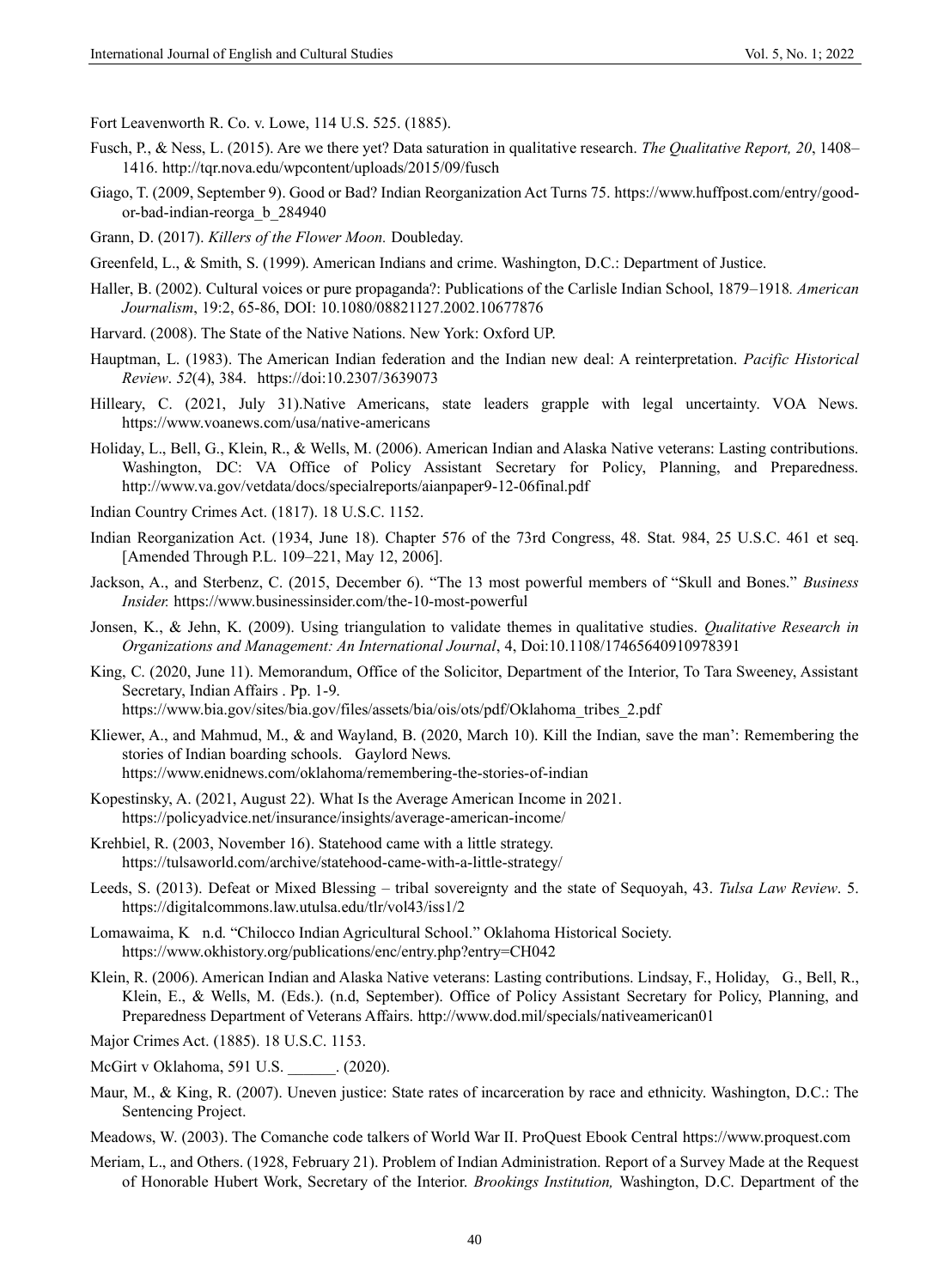Fort Leavenworth R. Co. v. Lowe, 114 U.S. 525. (1885).

- Fusch, P., & Ness, L. (2015). Are we there yet? Data saturation in qualitative research. *The Qualitative Report, 20*, 1408– 1416[. http://tqr.nova.edu/wpcontent/uploads/2015/09/fusch](http://tqr.nova.edu/wpcontent/uploads/2015/09/fusch)
- Giago, T. (2009, September 9). Good or Bad? Indian Reorganization Act Turns 75. [https://www.huffpost.com/entry/good](https://www.huffpost.com/entry/good-or-bad-indian-reorga_b_284940)[or-bad-indian-reorga\\_b\\_284940](https://www.huffpost.com/entry/good-or-bad-indian-reorga_b_284940)
- Grann, D. (2017). *Killers of the Flower Moon.* Doubleday.
- Greenfeld, L., & Smith, S. (1999). American Indians and crime. Washington, D.C.: Department of Justice.
- Haller, B. (2002). Cultural voices or pure propaganda?: Publications of the Carlisle Indian School, 1879–1918*. American Journalism*, 19:2, 65-86, DOI: 10.1080/08821127.2002.10677876
- Harvard. (2008). The State of the Native Nations. New York: Oxford UP.
- Hauptman, L. (1983). The American Indian federation and the Indian new deal: A reinterpretation. *Pacific Historical Review*. *52*(4), 384. <https://doi:10.2307/3639073>
- Hilleary, C. (2021, July 31).Native Americans, state leaders grapple with legal uncertainty. VOA News. [https://www.voanews.com/usa/native-americans](https://www.voanews.com/usa/native-americans-state-leaders-grapple-legal-uncertainty-oklahoma)
- Holiday, L., Bell, G., Klein, R., & Wells, M. (2006). American Indian and Alaska Native veterans: Lasting contributions. Washington, DC: VA Office of Policy Assistant Secretary for Policy, Planning, and Preparedness. <http://www.va.gov/vetdata/docs/specialreports/aianpaper9-12-06final.pdf>
- Indian Country Crimes Act. (1817). 18 U.S.C. 1152.
- Indian Reorganization Act. (1934, June 18). Chapter 576 of the 73rd Congress, 48. Stat. 984, 25 U.S.C. 461 et seq. [Amended Through P.L. 109–221, May 12, 2006].
- Jackson, A., and Sterbenz, C. (2015, December 6). "The 13 most powerful members of "Skull and Bones." *Business Insider.* [https://www.businessinsider.com/the-10-most-powerful](https://www.businessinsider.com/the-10-most-powerful-members-of-skull-and-bones-2015-12)
- Jonsen, K., & Jehn, K. (2009). Using triangulation to validate themes in qualitative studies. *Qualitative Research in Organizations and Management: An International Journal*, 4, Doi:10.1108/17465640910978391
- King, C. (2020, June 11). Memorandum, Office of the Solicitor, Department of the Interior, To Tara Sweeney, Assistant Secretary, Indian Affairs . Pp. 1-9.

[https://www.bia.gov/sites/bia.gov/files/assets/bia/ois/ots/pdf/Oklahoma\\_tribes\\_2.pdf](https://www.bia.gov/sites/bia.gov/files/assets/bia/ois/ots/pdf/Oklahoma_tribes_2.pdf)

- Kliewer, A., and Mahmud, M., & and Wayland, B. (2020, March 10). Kill the Indian, save the man': Remembering the stories of Indian boarding schools. Gaylord News.
	- [https://www.enidnews.com/oklahoma/remembering-the-stories-of-indian](https://www.enidnews.com/oklahoma/remembering-the-stories-of-indian-boarding-schools/article_2dab0af4-62f2-11ea-8b72-63670b5a9f9b.html)
- Kopestinsky, A. (2021, August 22). What Is the Average American Income in 2021. <https://policyadvice.net/insurance/insights/average-american-income/>
- Krehbiel, R. (2003, November 16). Statehood came with a little strategy. [https://tulsaworld.com/archive/statehood-came-with-a-little-strategy/](https://tulsaworld.com/archive/statehood-came-with-a-little-strategy/article_dfef633a-8a8a-514d-b55a-023673363df1.html)
- Leeds, S. (2013). Defeat or Mixed Blessing tribal sovereignty and the state of Sequoyah, 43. *Tulsa Law Review*. 5. <https://digitalcommons.law.utulsa.edu/tlr/vol43/iss1/2>
- Lomawaima, K n.d. "Chilocco Indian Agricultural School." Oklahoma Historical Society. <https://www.okhistory.org/publications/enc/entry.php?entry=CH042>
- Klein, R. (2006). American Indian and Alaska Native veterans: Lasting contributions. Lindsay, F., Holiday, G., Bell, R., Klein, E., & Wells, M. (Eds.). (n.d, September). Office of Policy Assistant Secretary for Policy, Planning, and Preparedness Department of Veterans Affairs.<http://www.dod.mil/specials/nativeamerican01>
- Major Crimes Act. (1885). 18 U.S.C. 1153.
- McGirt v Oklahoma, 591 U.S. (2020).
- Maur, M., & King, R. (2007). Uneven justice: State rates of incarceration by race and ethnicity. Washington, D.C.: The Sentencing Project.
- Meadows, W. (2003). The Comanche code talkers of World War II. ProQuest Ebook Central [https://www.proquest.com](https://www.proquest.com/)
- Meriam, L., and Others. (1928, February 21). Problem of Indian Administration. Report of a Survey Made at the Request of Honorable Hubert Work, Secretary of the Interior. *Brookings Institution,* Washington, D.C. Department of the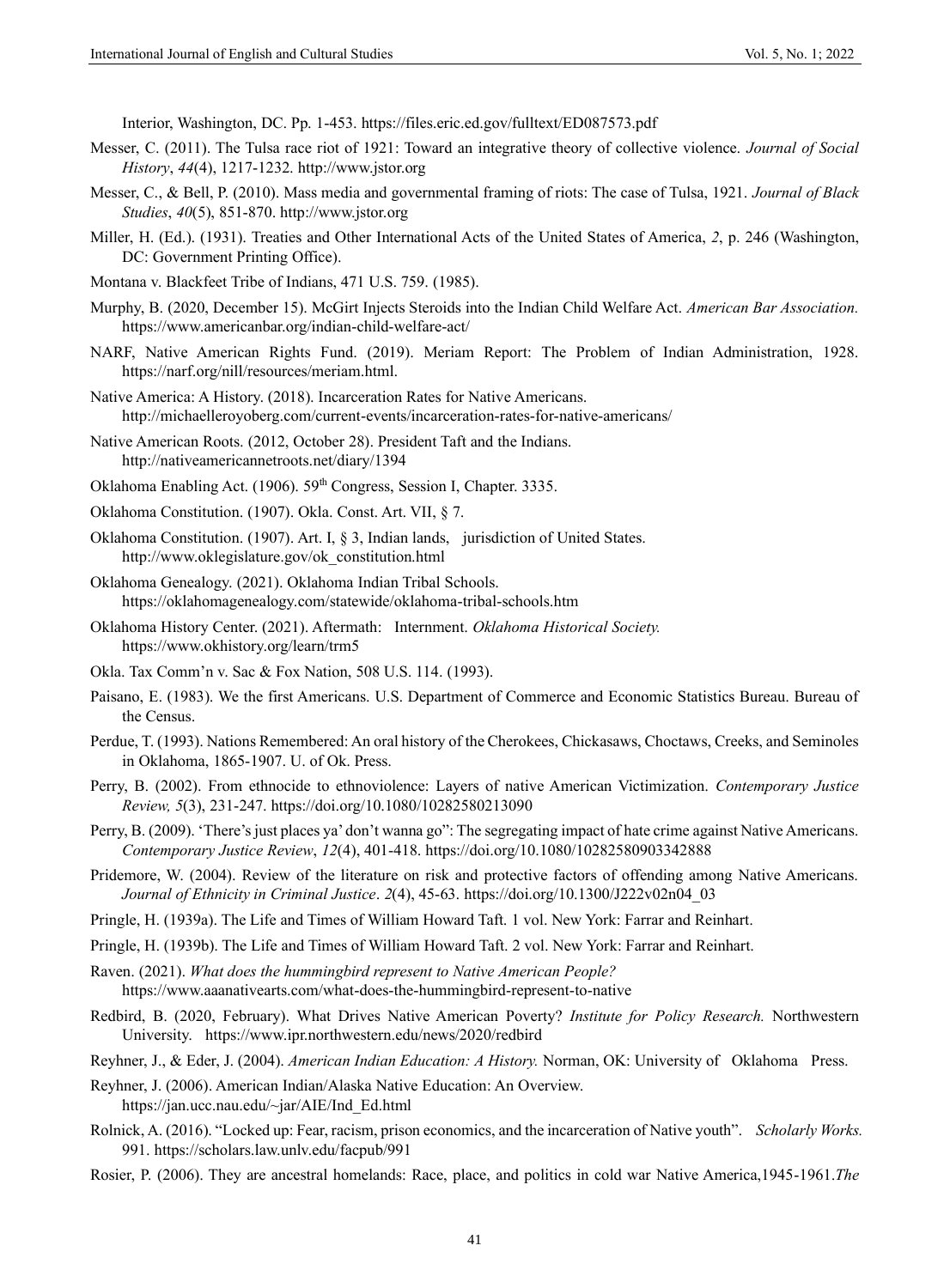Interior, Washington, DC. Pp. 1-453.<https://files.eric.ed.gov/fulltext/ED087573.pdf>

- Messer, C. (2011). The Tulsa race riot of 1921: Toward an integrative theory of collective violence. *Journal of Social History*, *44*(4), 1217-1232[. http://www.jstor.org](http://www.jstor.org/stable/41305432)
- Messer, C., & Bell, P. (2010). Mass media and governmental framing of riots: The case of Tulsa, 1921. *Journal of Black Studies*, *40*(5), 851-870[. http://www.jstor.org](http://www.jstor.org/stable/40648610)
- Miller, H. (Ed.). (1931). Treaties and Other International Acts of the United States of America, *2*, p. 246 (Washington, DC: Government Printing Office).
- Montana v. Blackfeet Tribe of Indians, 471 U.S. 759. (1985).
- Murphy, B. (2020, December 15). McGirt Injects Steroids into the Indian Child Welfare Act. *American Bar Association.*  [https://www.americanbar.org/indian-child-welfare-act/](https://www.americanbar.org/groups/litigation/committees/childrens-rights/articles/2020/winter2021-mcgirt-injects-steroids-into-the-indian-child-welfare-act/)
- NARF, Native American Rights Fund. (2019). Meriam Report: The Problem of Indian Administration, 1928. [https://narf.org/nill/resources/meriam.html.](https://narf.org/nill/resources/meriam.html)
- Native America: A History. (2018). Incarceration Rates for Native Americans. <http://michaelleroyoberg.com/current-events/incarceration-rates-for-native-americans/>
- Native American Roots. (2012, October 28). President Taft and the Indians. <http://nativeamericannetroots.net/diary/1394>
- Oklahoma Enabling Act. (1906). 59<sup>th</sup> Congress, Session I, Chapter. 3335.
- Oklahoma Constitution. (1907). Okla. Const. Art. VII, § 7.
- Oklahoma Constitution. (1907). Art. I, § 3, Indian lands, jurisdiction of United States. [http://www.oklegislature.gov/ok\\_constitution.html](http://www.oklegislature.gov/ok_constitution.html)
- Oklahoma Genealogy. (2021). Oklahoma Indian Tribal Schools. <https://oklahomagenealogy.com/statewide/oklahoma-tribal-schools.htm>
- Oklahoma History Center. (2021). Aftermath: Internment. *Oklahoma Historical Society.*  <https://www.okhistory.org/learn/trm5>
- Okla. Tax Comm'n v. Sac & Fox Nation, 508 U.S. 114. (1993).
- Paisano, E. (1983). We the first Americans. U.S. Department of Commerce and Economic Statistics Bureau. Bureau of the Census.
- Perdue, T. (1993). Nations Remembered: An oral history of the Cherokees, Chickasaws, Choctaws, Creeks, and Seminoles in Oklahoma, 1865-1907. U. of Ok. Press.
- Perry, B. (2002). From ethnocide to ethnoviolence: Layers of native American Victimization. *Contemporary Justice Review, 5*(3), 231-247.<https://doi.org/10.1080/10282580213090>
- Perry, B. (2009). 'There's just places ya' don't wanna go": The segregating impact of hate crime against Native Americans. *Contemporary Justice Review*, *12*(4), 401-418[. https://doi.org/10.1080/10282580903342888](https://doi.org/10.1080/10282580903342888)
- Pridemore, W. (2004). Review of the literature on risk and protective factors of offending among Native Americans. *Journal of Ethnicity in Criminal Justice*. *2*(4), 45-63. [https://doi.org/10.1300/J222v02n04\\_03](https://doi.org/10.1300/J222v02n04_03)
- Pringle, H. (1939a). The Life and Times of William Howard Taft. 1 vol. New York: Farrar and Reinhart.
- Pringle, H. (1939b). The Life and Times of William Howard Taft. 2 vol. New York: Farrar and Reinhart.
- Raven. (2021). *What does the hummingbird represent to Native American People?*  [https://www.aaanativearts.com/what-does-the-hummingbird-represent-to-native](https://www.aaanativearts.com/what-does-the-hummingbird-represent-to-native-american-people/amp)
- Redbird, B. (2020, February). What Drives Native American Poverty? *Institute for Policy Research.* Northwestern University. [https://www.ipr.northwestern.edu/news/2020/redbird](https://www.ipr.northwestern.edu/news/2020/redbird-what-drives-nativeamerican-poverty.html)

Reyhner, J., & Eder, J. (2004). *American Indian Education: A History.* Norman, OK: University of Oklahoma Press.

- Reyhner, J. (2006). American Indian/Alaska Native Education: An Overview. [https://jan.ucc.nau.edu/~jar/AIE/Ind\\_Ed.html](https://jan.ucc.nau.edu/~jar/AIE/Ind_Ed.html)
- Rolnick, A. (2016). "Locked up: Fear, racism, prison economics, and the incarceration of Native youth". *Scholarly Works.* 991[. https://scholars.law.unlv.edu/facpub/991](https://scholars.law.unlv.edu/facpub/991)
- Rosier, P. (2006). They are ancestral homelands: Race, place, and politics in cold war Native America,1945-1961.*The*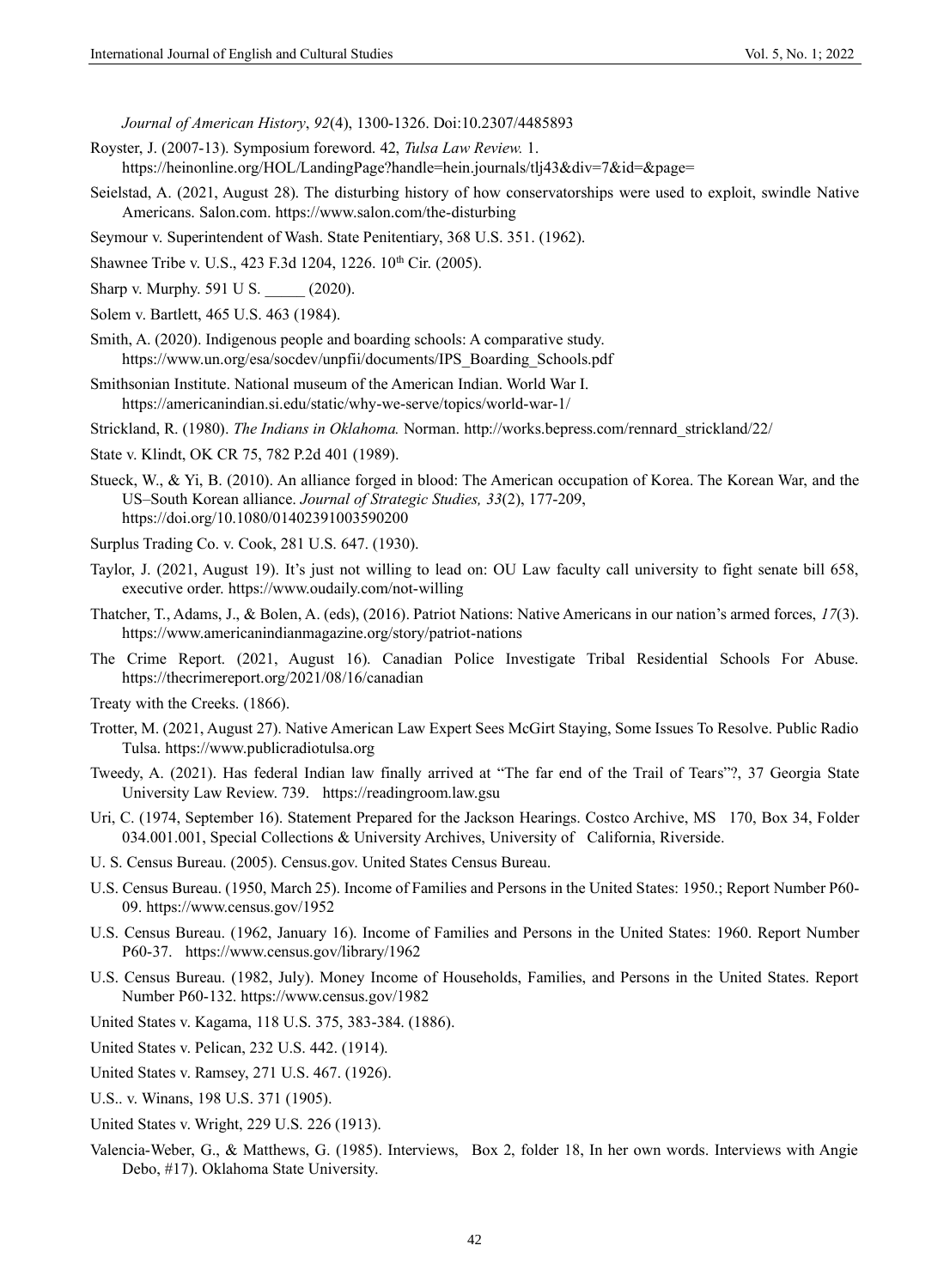*Journal of American History*, *92*(4), 1300-1326. Doi:10.2307/4485893

- Royster, J. (2007-13). Symposium foreword. 42, *Tulsa Law Review.* 1. <https://heinonline.org/HOL/LandingPage?handle=hein.journals/tlj43&div=7&id=&page=>
- Seielstad, A. (2021, August 28). The disturbing history of how conservatorships were used to exploit, swindle Native Americans. Salon.com[. https://www.salon.com/the-disturbing](https://www.salon.com/2021/08/28/the-disturbing-history-of-how-conservatorships-were-used-to-exploit-swindle-native-americans_partner/)
- Seymour v. Superintendent of Wash. State Penitentiary, 368 U.S. 351. (1962).
- Shawnee Tribe v. U.S., 423 F.3d 1204, 1226. 10<sup>th</sup> Cir. (2005).
- Sharp v. Murphy. 591 U S. (2020).

Solem v. Bartlett, 465 U.S. 463 (1984).

- Smith, A. (2020). Indigenous people and boarding schools: A comparative study. [https://www.un.org/esa/socdev/unpfii/documents/IPS\\_Boarding\\_Schools.pdf](https://www.un.org/esa/socdev/unpfii/documents/IPS_Boarding_Schools.pdf)
- Smithsonian Institute. National museum of the American Indian. World War I. <https://americanindian.si.edu/static/why-we-serve/topics/world-war-1/>
- Strickland, R. (1980). *The Indians in Oklahoma.* Norman. [http://works.bepress.com/rennard\\_strickland/22/](http://works.bepress.com/rennard_strickland/22/)
- State v. Klindt, OK CR 75, 782 P.2d 401 (1989).
- Stueck, W., & Yi, B. (2010). An alliance forged in blood: The American occupation of Korea. The Korean War, and the US–South Korean alliance. *Journal of Strategic Studies, 33*(2), 177-209, https://doi.org/10.1080/01402391003590200
- Surplus Trading Co. v. Cook, 281 U.S. 647. (1930).
- Taylor, J. (2021, August 19). It's just not willing to lead on: OU Law faculty call university to fight senate bill 658, executive order. [https://www.oudaily.com/not-willing](https://www.oudaily.com/news/it-s-just-not-willing-to-lead-on-ou-law-faculty-call-university-to-fight/article_151a626e-0102-11ec-b41f-87970b0685f6.html)
- Thatcher, T., Adams, J., & Bolen, A. (eds), (2016). Patriot Nations: Native Americans in our nation's armed forces, *17*(3). [https://www.americanindianmagazine.org/story/patriot-nations](https://www.americanindianmagazine.org/story/patriot-nations-native-americans-our-nations-armed-forces)
- The Crime Report. (2021, August 16). Canadian Police Investigate Tribal Residential Schools For Abuse. [https://thecrimereport.org/2021/08/16/canadian](https://thecrimereport.org/2021/08/16/canadian-police-investigate-tribal-residential-schools-for-abuse/)
- Treaty with the Creeks. (1866).
- Trotter, M. (2021, August 27). Native American Law Expert Sees McGirt Staying, Some Issues To Resolve. Public Radio Tulsa. [https://www.publicradiotulsa.org](https://www.publicradiotulsa.org/post/native-american-law-expert-sees-mcgirt-staying-some-issues-resolve)
- Tweedy, A. (2021). Has federal Indian law finally arrived at "The far end of the Trail of Tears"?, 37 Georgia State University Law Review. 739. [https://readingroom.law.gsu](https://readingroom.law.gsu.edu/gsulr/vol37/iss3/4)
- Uri, C. (1974, September 16). Statement Prepared for the Jackson Hearings. Costco Archive, MS 170, Box 34, Folder 034.001.001, Special Collections & University Archives, University of California, Riverside.
- U. S. Census Bureau. (2005). Census.gov. United States Census Bureau.
- U.S. Census Bureau. (1950, March 25). Income of Families and Persons in the United States: 1950.; Report Number P60- 09[. https://www.census.gov/1952](https://www.census.gov/library/publications/1952/demo/p60-009.html)
- U.S. Census Bureau. (1962, January 16). Income of Families and Persons in the United States: 1960. Report Number P60-37. [https://www.census.gov/library/1962](https://www.census.gov/library/publications/1962/demo/p60-037.html)
- U.S. Census Bureau. (1982, July). Money Income of Households, Families, and Persons in the United States. Report Number P60-132.<https://www.census.gov/1982>
- United States v. Kagama, 118 U.S. 375, 383-384. (1886).
- United States v. Pelican, 232 U.S. 442. (1914).
- United States v. Ramsey, 271 U.S. 467. (1926).
- U.S.. v. Winans, 198 U.S. 371 (1905).
- United States v. Wright, 229 U.S. 226 (1913).
- Valencia-Weber, G., & Matthews, G. (1985). Interviews, Box 2, folder 18, In her own words. Interviews with Angie Debo, #17). Oklahoma State University.